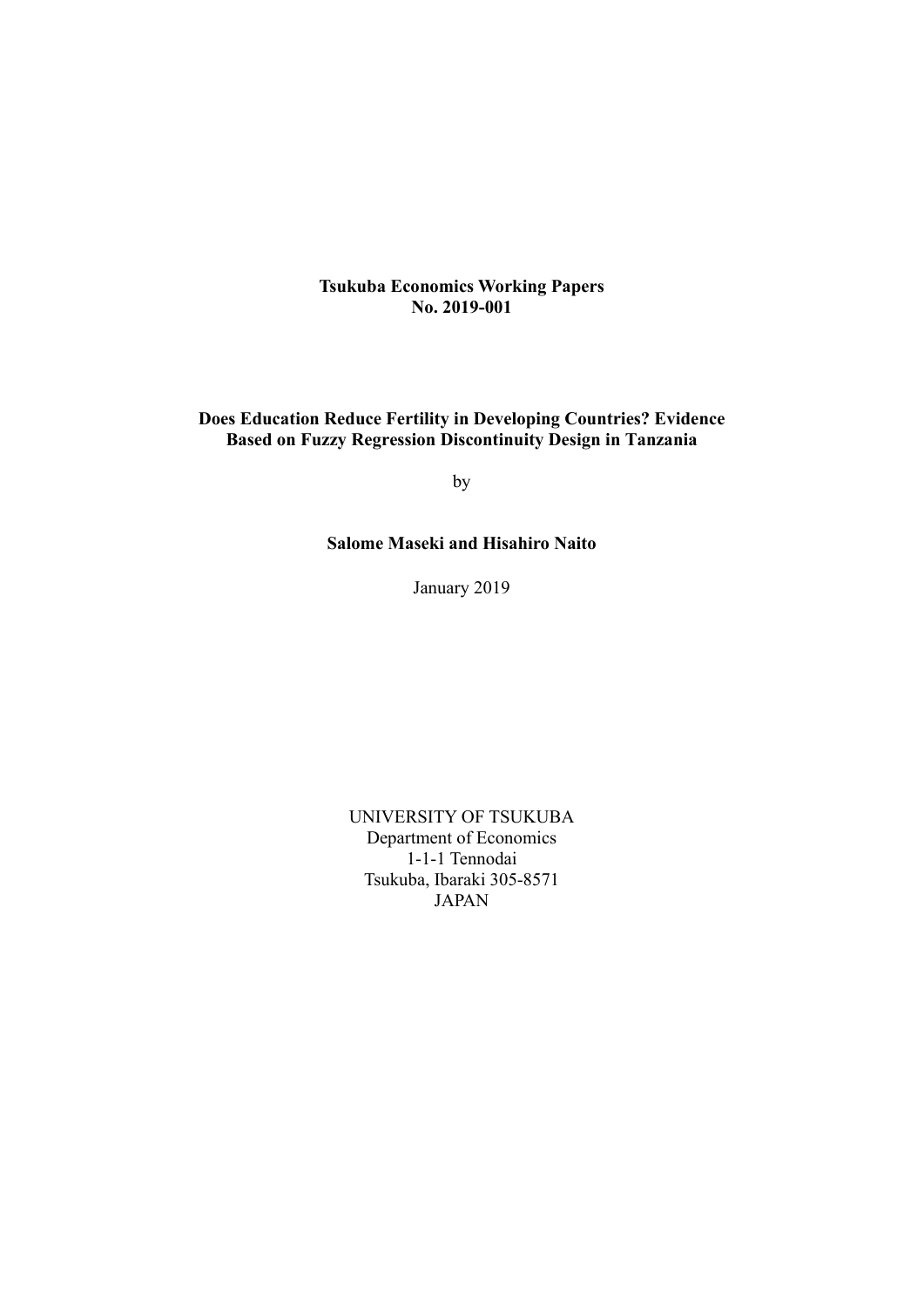**Tsukuba Economics Working Papers No. 2019-001**

## **Does Education Reduce Fertility in Developing Countries? Evidence Based on Fuzzy Regression Discontinuity Design in Tanzania**

by

## **Salome Maseki and Hisahiro Naito**

January 2019

UNIVERSITY OF TSUKUBA Department of Economics 1-1-1 Tennodai Tsukuba, Ibaraki 305-8571 JAPAN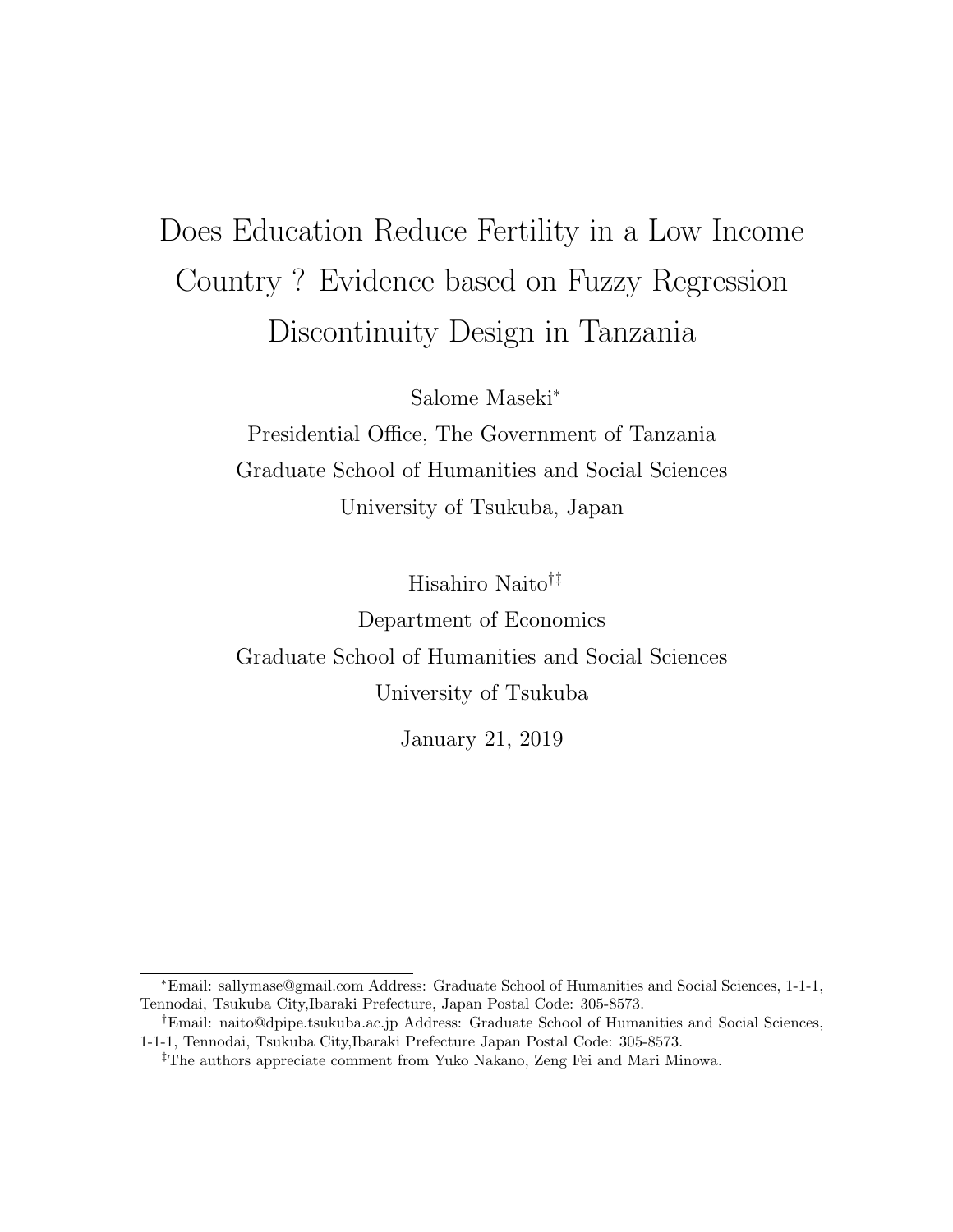# Does Education Reduce Fertility in a Low Income Country ? Evidence based on Fuzzy Regression Discontinuity Design in Tanzania

Salome Maseki<sup>∗</sup>

Presidential Office, The Government of Tanzania Graduate School of Humanities and Social Sciences University of Tsukuba, Japan

Hisahiro Naito†‡ Department of Economics Graduate School of Humanities and Social Sciences University of Tsukuba

January 21, 2019

<sup>∗</sup>Email: sallymase@gmail.com Address: Graduate School of Humanities and Social Sciences, 1-1-1, Tennodai, Tsukuba City,Ibaraki Prefecture, Japan Postal Code: 305-8573.

<sup>&</sup>lt;sup>†</sup>Email: naito@dpipe.tsukuba.ac.jp Address: Graduate School of Humanities and Social Sciences, 1-1-1, Tennodai, Tsukuba City,Ibaraki Prefecture Japan Postal Code: 305-8573.

<sup>‡</sup>The authors appreciate comment from Yuko Nakano, Zeng Fei and Mari Minowa.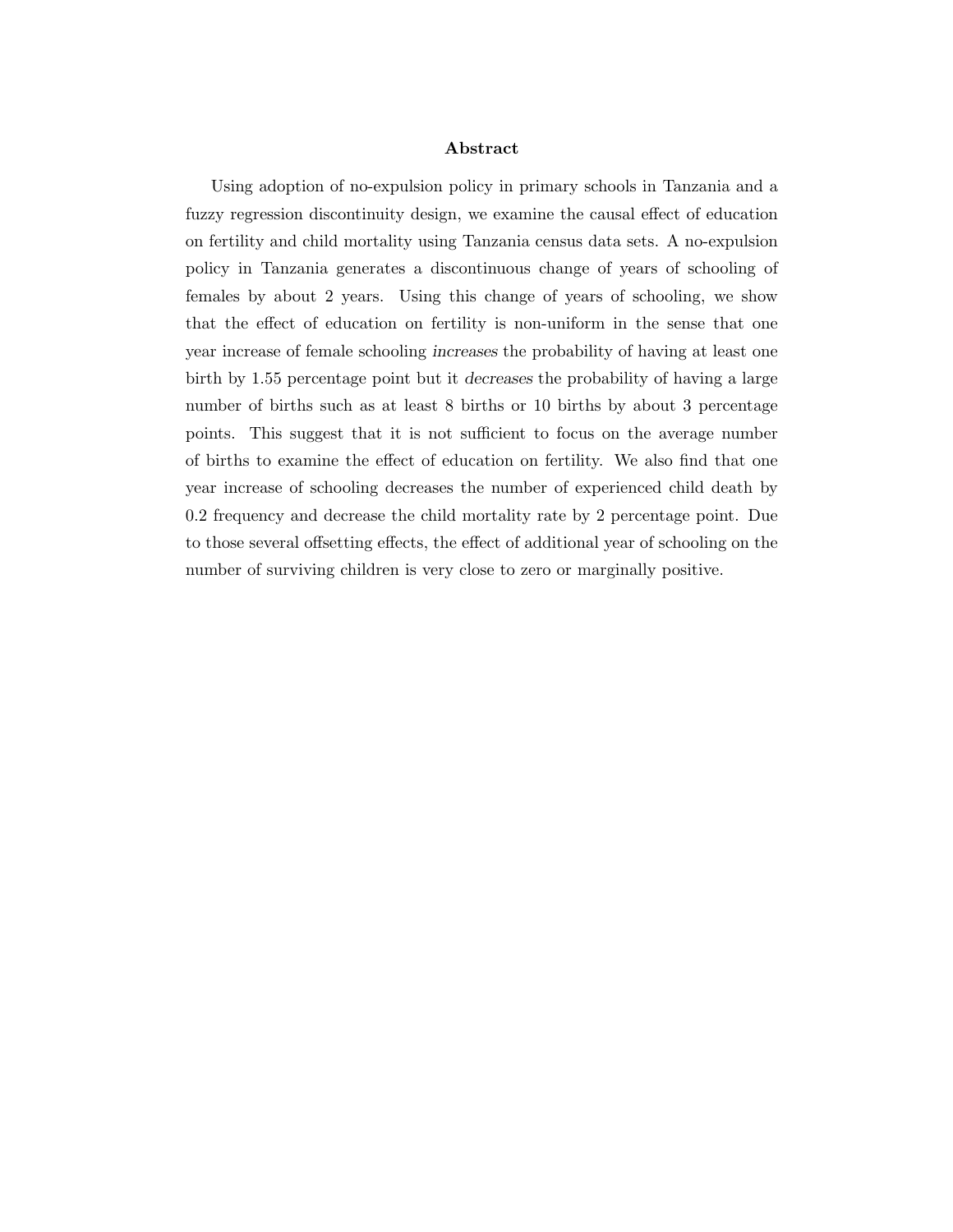#### Abstract

Using adoption of no-expulsion policy in primary schools in Tanzania and a fuzzy regression discontinuity design, we examine the causal effect of education on fertility and child mortality using Tanzania census data sets. A no-expulsion policy in Tanzania generates a discontinuous change of years of schooling of females by about 2 years. Using this change of years of schooling, we show that the effect of education on fertility is non-uniform in the sense that one year increase of female schooling increases the probability of having at least one birth by 1.55 percentage point but it decreases the probability of having a large number of births such as at least 8 births or 10 births by about 3 percentage points. This suggest that it is not sufficient to focus on the average number of births to examine the effect of education on fertility. We also find that one year increase of schooling decreases the number of experienced child death by 0.2 frequency and decrease the child mortality rate by 2 percentage point. Due to those several offsetting effects, the effect of additional year of schooling on the number of surviving children is very close to zero or marginally positive.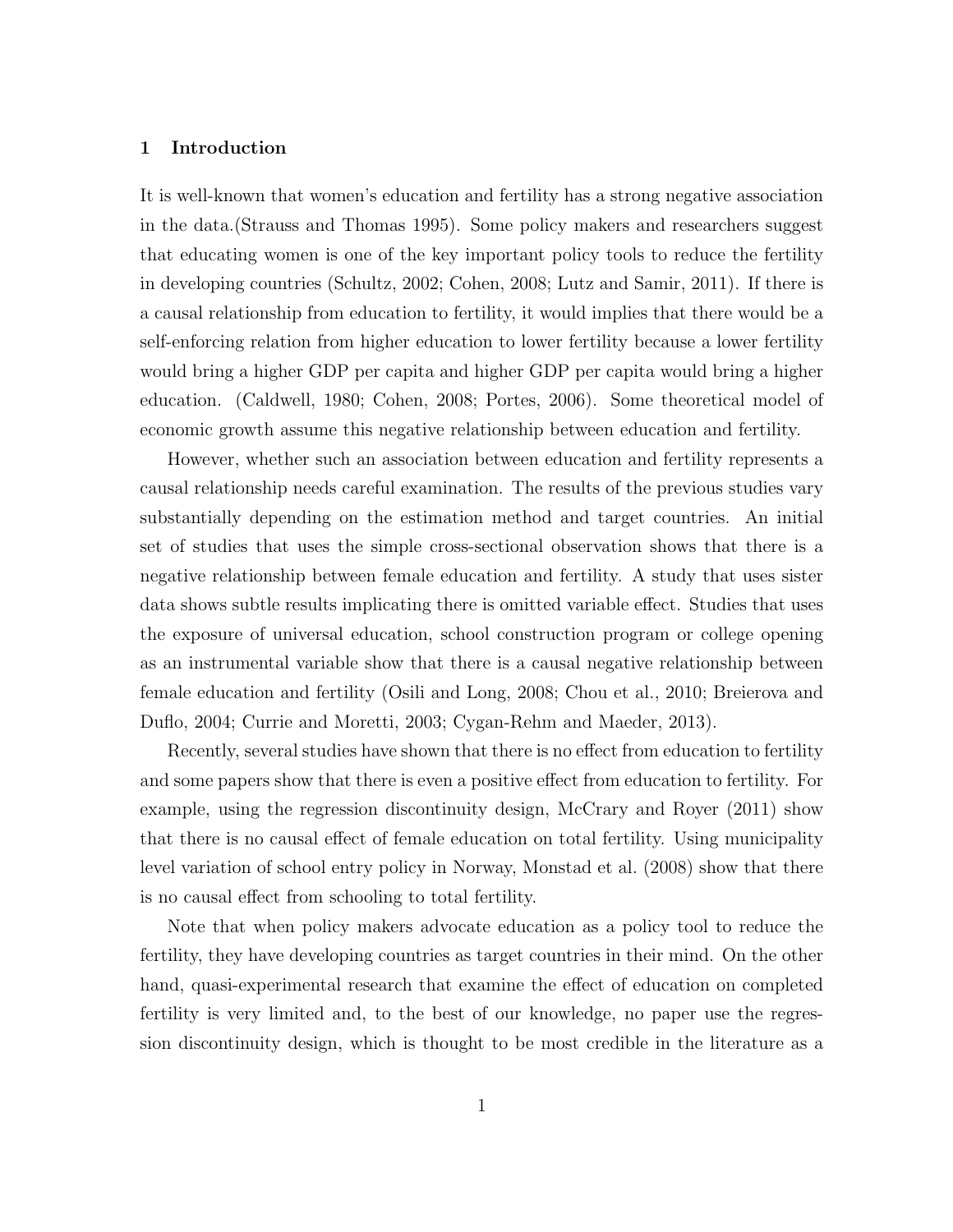#### 1 Introduction

It is well-known that women's education and fertility has a strong negative association in the data.(Strauss and Thomas 1995). Some policy makers and researchers suggest that educating women is one of the key important policy tools to reduce the fertility in developing countries (Schultz, 2002; Cohen, 2008; Lutz and Samir, 2011). If there is a causal relationship from education to fertility, it would implies that there would be a self-enforcing relation from higher education to lower fertility because a lower fertility would bring a higher GDP per capita and higher GDP per capita would bring a higher education. (Caldwell, 1980; Cohen, 2008; Portes, 2006). Some theoretical model of economic growth assume this negative relationship between education and fertility.

However, whether such an association between education and fertility represents a causal relationship needs careful examination. The results of the previous studies vary substantially depending on the estimation method and target countries. An initial set of studies that uses the simple cross-sectional observation shows that there is a negative relationship between female education and fertility. A study that uses sister data shows subtle results implicating there is omitted variable effect. Studies that uses the exposure of universal education, school construction program or college opening as an instrumental variable show that there is a causal negative relationship between female education and fertility (Osili and Long, 2008; Chou et al., 2010; Breierova and Duflo, 2004; Currie and Moretti, 2003; Cygan-Rehm and Maeder, 2013).

Recently, several studies have shown that there is no effect from education to fertility and some papers show that there is even a positive effect from education to fertility. For example, using the regression discontinuity design, McCrary and Royer (2011) show that there is no causal effect of female education on total fertility. Using municipality level variation of school entry policy in Norway, Monstad et al. (2008) show that there is no causal effect from schooling to total fertility.

Note that when policy makers advocate education as a policy tool to reduce the fertility, they have developing countries as target countries in their mind. On the other hand, quasi-experimental research that examine the effect of education on completed fertility is very limited and, to the best of our knowledge, no paper use the regression discontinuity design, which is thought to be most credible in the literature as a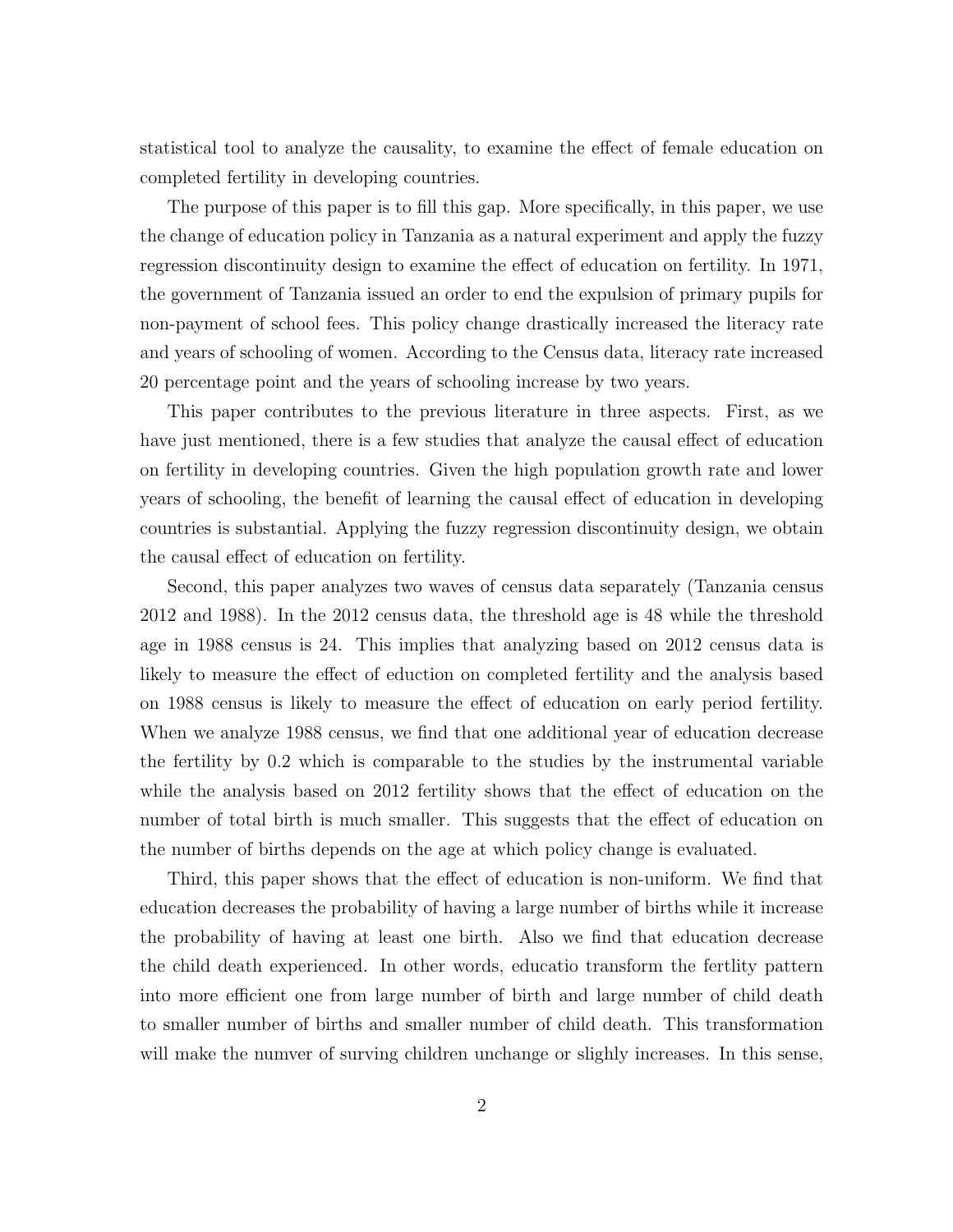statistical tool to analyze the causality, to examine the effect of female education on completed fertility in developing countries.

The purpose of this paper is to fill this gap. More specifically, in this paper, we use the change of education policy in Tanzania as a natural experiment and apply the fuzzy regression discontinuity design to examine the effect of education on fertility. In 1971, the government of Tanzania issued an order to end the expulsion of primary pupils for non-payment of school fees. This policy change drastically increased the literacy rate and years of schooling of women. According to the Census data, literacy rate increased 20 percentage point and the years of schooling increase by two years.

This paper contributes to the previous literature in three aspects. First, as we have just mentioned, there is a few studies that analyze the causal effect of education on fertility in developing countries. Given the high population growth rate and lower years of schooling, the benefit of learning the causal effect of education in developing countries is substantial. Applying the fuzzy regression discontinuity design, we obtain the causal effect of education on fertility.

Second, this paper analyzes two waves of census data separately (Tanzania census 2012 and 1988). In the 2012 census data, the threshold age is 48 while the threshold age in 1988 census is 24. This implies that analyzing based on 2012 census data is likely to measure the effect of eduction on completed fertility and the analysis based on 1988 census is likely to measure the effect of education on early period fertility. When we analyze 1988 census, we find that one additional year of education decrease the fertility by 0.2 which is comparable to the studies by the instrumental variable while the analysis based on 2012 fertility shows that the effect of education on the number of total birth is much smaller. This suggests that the effect of education on the number of births depends on the age at which policy change is evaluated.

Third, this paper shows that the effect of education is non-uniform. We find that education decreases the probability of having a large number of births while it increase the probability of having at least one birth. Also we find that education decrease the child death experienced. In other words, educatio transform the fertlity pattern into more efficient one from large number of birth and large number of child death to smaller number of births and smaller number of child death. This transformation will make the numver of surving children unchange or slighly increases. In this sense,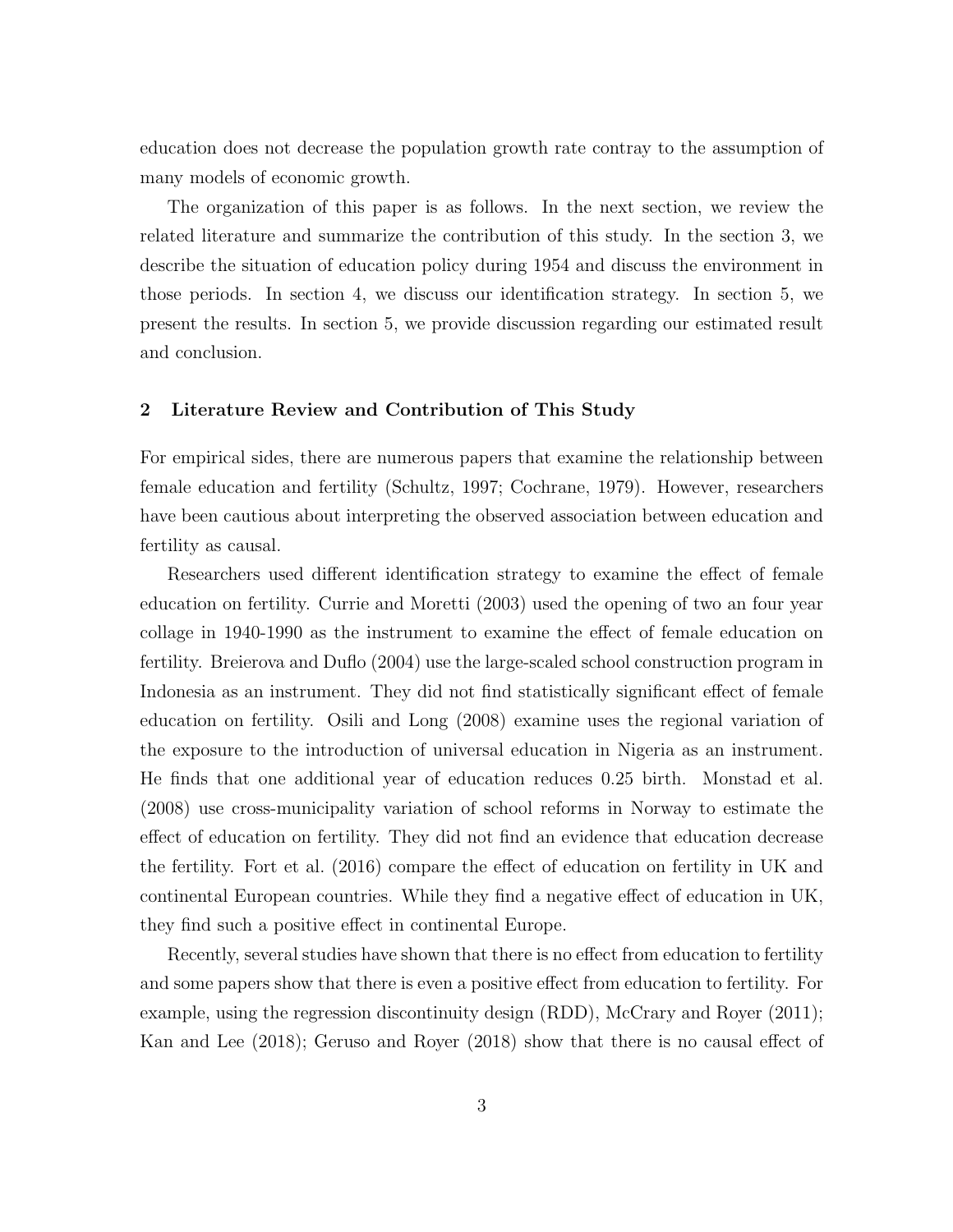education does not decrease the population growth rate contray to the assumption of many models of economic growth.

The organization of this paper is as follows. In the next section, we review the related literature and summarize the contribution of this study. In the section 3, we describe the situation of education policy during 1954 and discuss the environment in those periods. In section 4, we discuss our identification strategy. In section 5, we present the results. In section 5, we provide discussion regarding our estimated result and conclusion.

#### 2 Literature Review and Contribution of This Study

For empirical sides, there are numerous papers that examine the relationship between female education and fertility (Schultz, 1997; Cochrane, 1979). However, researchers have been cautious about interpreting the observed association between education and fertility as causal.

Researchers used different identification strategy to examine the effect of female education on fertility. Currie and Moretti (2003) used the opening of two an four year collage in 1940-1990 as the instrument to examine the effect of female education on fertility. Breierova and Duflo (2004) use the large-scaled school construction program in Indonesia as an instrument. They did not find statistically significant effect of female education on fertility. Osili and Long (2008) examine uses the regional variation of the exposure to the introduction of universal education in Nigeria as an instrument. He finds that one additional year of education reduces 0.25 birth. Monstad et al. (2008) use cross-municipality variation of school reforms in Norway to estimate the effect of education on fertility. They did not find an evidence that education decrease the fertility. Fort et al. (2016) compare the effect of education on fertility in UK and continental European countries. While they find a negative effect of education in UK, they find such a positive effect in continental Europe.

Recently, several studies have shown that there is no effect from education to fertility and some papers show that there is even a positive effect from education to fertility. For example, using the regression discontinuity design (RDD), McCrary and Royer (2011); Kan and Lee (2018); Geruso and Royer (2018) show that there is no causal effect of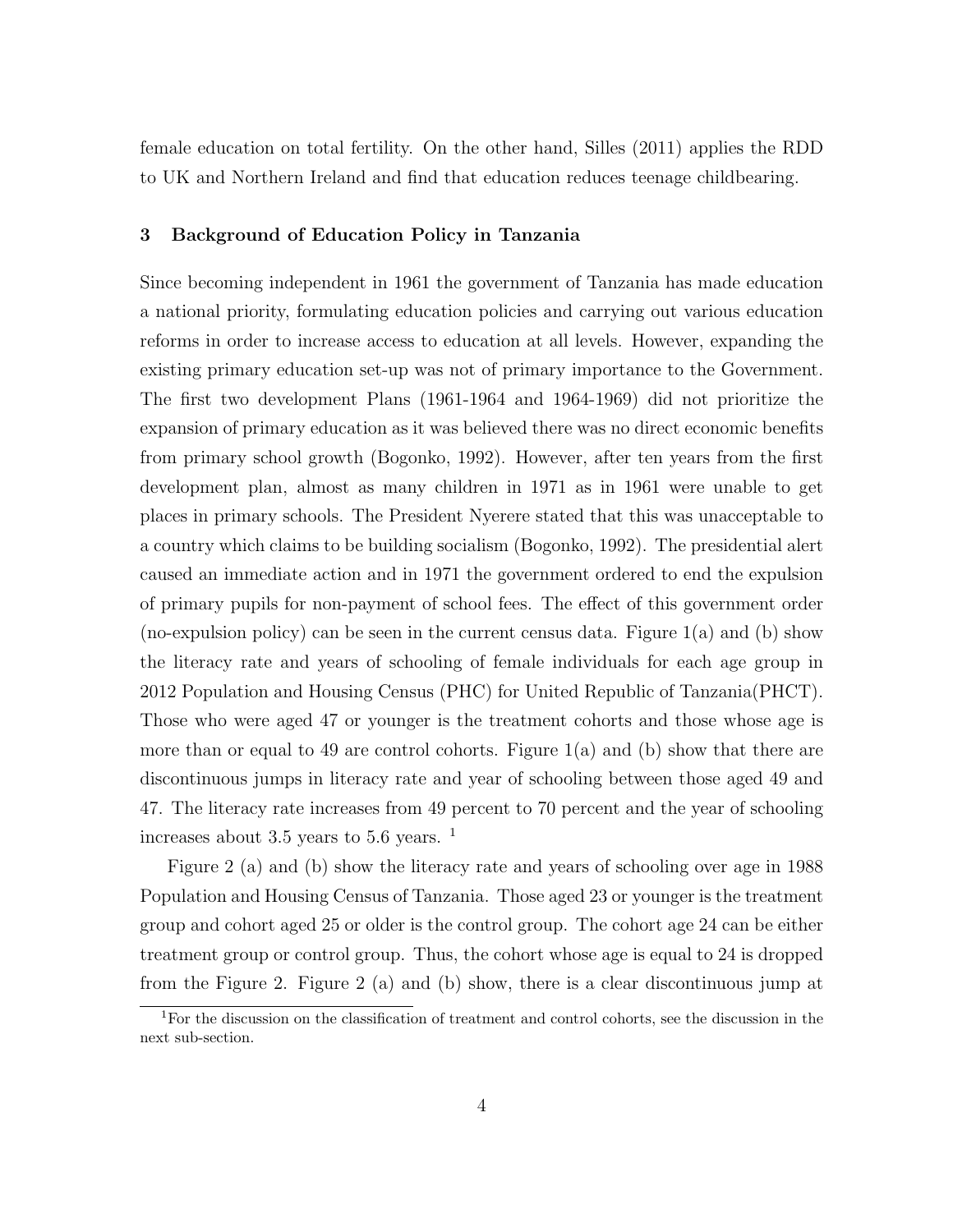female education on total fertility. On the other hand, Silles (2011) applies the RDD to UK and Northern Ireland and find that education reduces teenage childbearing.

#### 3 Background of Education Policy in Tanzania

Since becoming independent in 1961 the government of Tanzania has made education a national priority, formulating education policies and carrying out various education reforms in order to increase access to education at all levels. However, expanding the existing primary education set-up was not of primary importance to the Government. The first two development Plans (1961-1964 and 1964-1969) did not prioritize the expansion of primary education as it was believed there was no direct economic benefits from primary school growth (Bogonko, 1992). However, after ten years from the first development plan, almost as many children in 1971 as in 1961 were unable to get places in primary schools. The President Nyerere stated that this was unacceptable to a country which claims to be building socialism (Bogonko, 1992). The presidential alert caused an immediate action and in 1971 the government ordered to end the expulsion of primary pupils for non-payment of school fees. The effect of this government order (no-expulsion policy) can be seen in the current census data. Figure 1(a) and (b) show the literacy rate and years of schooling of female individuals for each age group in 2012 Population and Housing Census (PHC) for United Republic of Tanzania(PHCT). Those who were aged 47 or younger is the treatment cohorts and those whose age is more than or equal to 49 are control cohorts. Figure  $1(a)$  and (b) show that there are discontinuous jumps in literacy rate and year of schooling between those aged 49 and 47. The literacy rate increases from 49 percent to 70 percent and the year of schooling increases about 3.5 years to 5.6 years.  $<sup>1</sup>$ </sup>

Figure 2 (a) and (b) show the literacy rate and years of schooling over age in 1988 Population and Housing Census of Tanzania. Those aged 23 or younger is the treatment group and cohort aged 25 or older is the control group. The cohort age 24 can be either treatment group or control group. Thus, the cohort whose age is equal to 24 is dropped from the Figure 2. Figure 2 (a) and (b) show, there is a clear discontinuous jump at

<sup>1</sup>For the discussion on the classification of treatment and control cohorts, see the discussion in the next sub-section.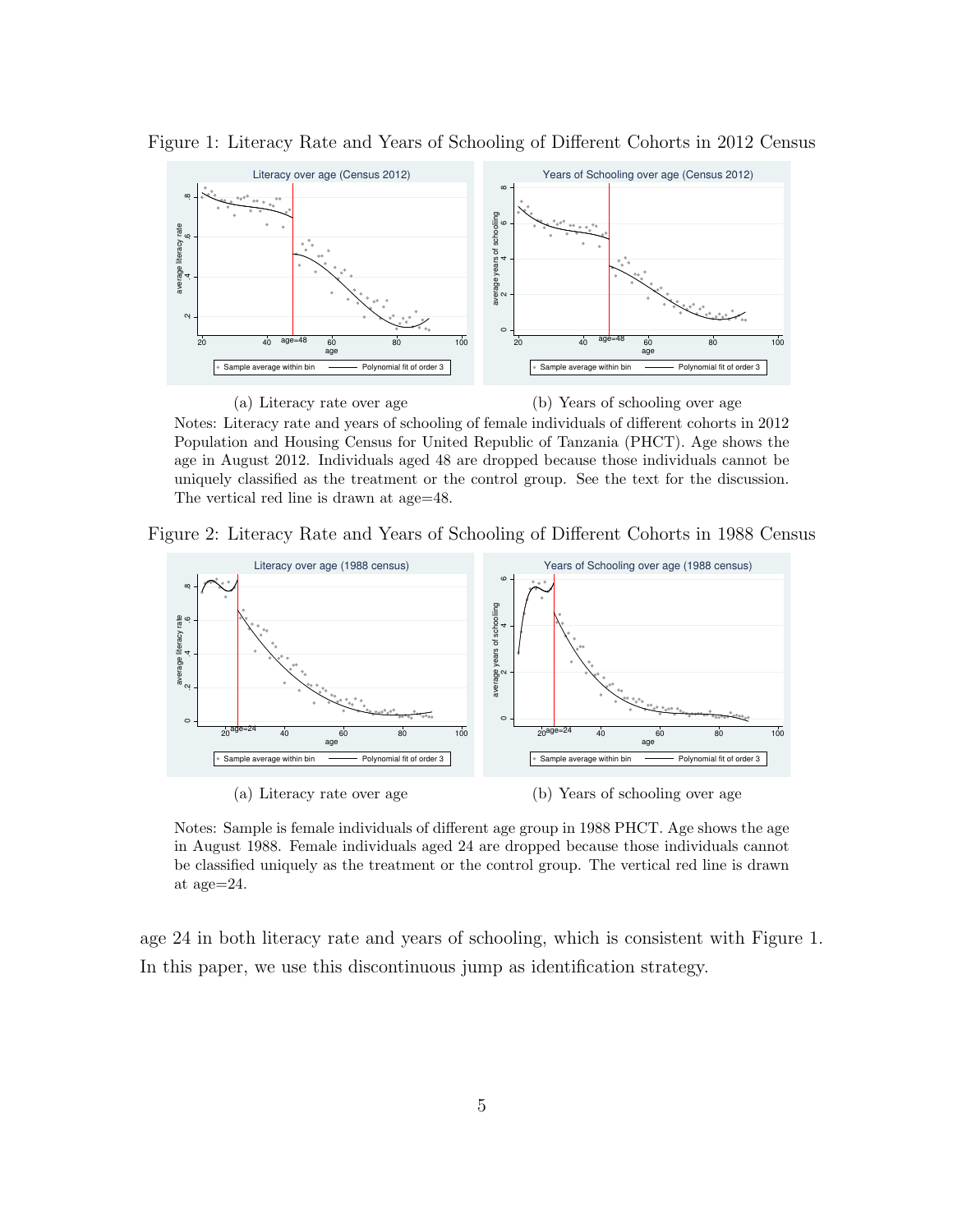

Figure 1: Literacy Rate and Years of Schooling of Different Cohorts in 2012 Census

Notes: Literacy rate and years of schooling of female individuals of different cohorts in 2012 Population and Housing Census for United Republic of Tanzania (PHCT). Age shows the age in August 2012. Individuals aged 48 are dropped because those individuals cannot be uniquely classified as the treatment or the control group. See the text for the discussion. The vertical red line is drawn at age=48.

Figure 2: Literacy Rate and Years of Schooling of Different Cohorts in 1988 Census



Notes: Sample is female individuals of different age group in 1988 PHCT. Age shows the age in August 1988. Female individuals aged 24 are dropped because those individuals cannot be classified uniquely as the treatment or the control group. The vertical red line is drawn at age=24.

age 24 in both literacy rate and years of schooling, which is consistent with Figure 1. In this paper, we use this discontinuous jump as identification strategy.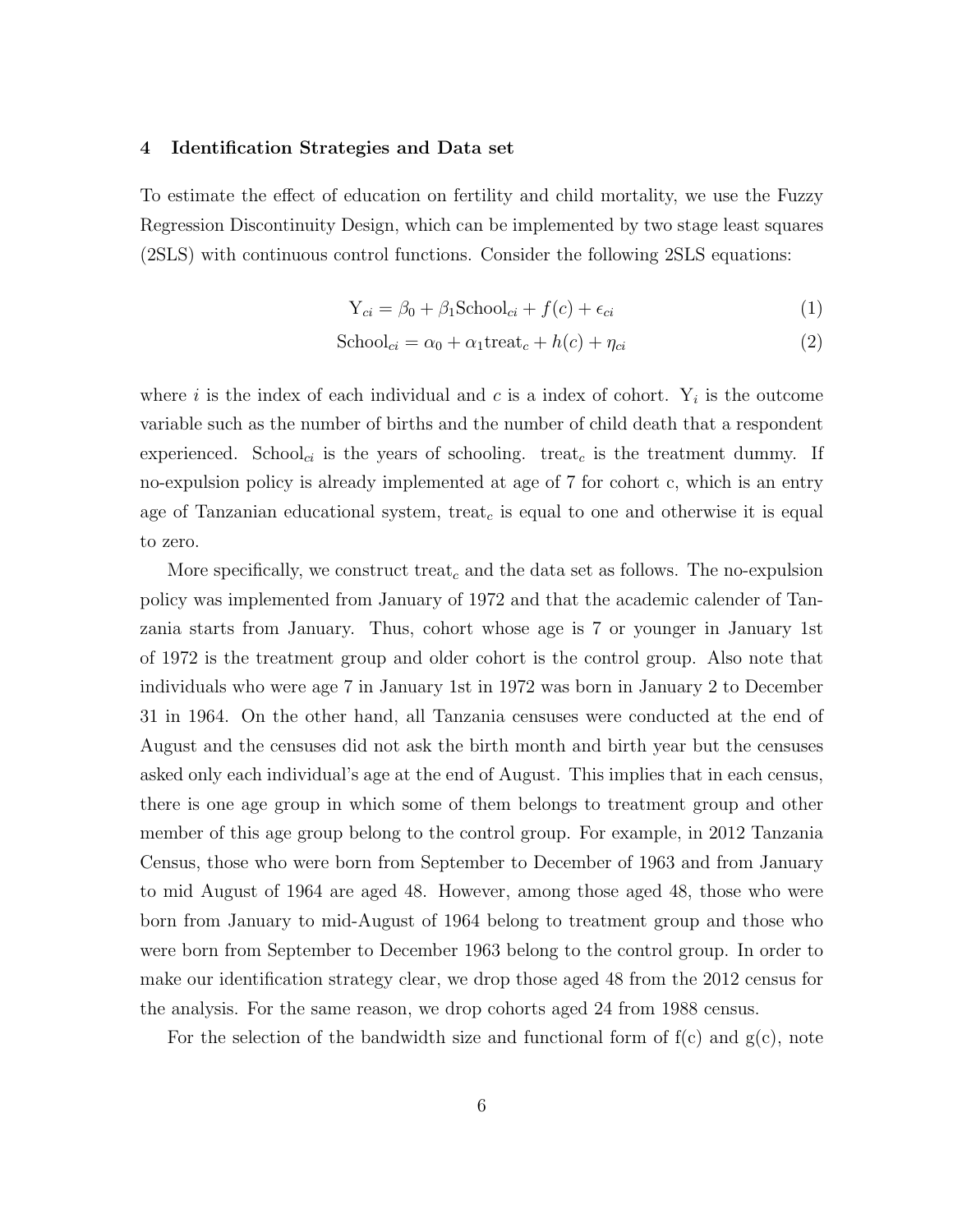#### 4 Identification Strategies and Data set

To estimate the effect of education on fertility and child mortality, we use the Fuzzy Regression Discontinuity Design, which can be implemented by two stage least squares (2SLS) with continuous control functions. Consider the following 2SLS equations:

$$
Y_{ci} = \beta_0 + \beta_1 \text{School}_{ci} + f(c) + \epsilon_{ci}
$$
 (1)

$$
School_{ci} = \alpha_0 + \alpha_1 \text{treat}_c + h(c) + \eta_{ci}
$$
\n<sup>(2)</sup>

where i is the index of each individual and c is a index of cohort.  $Y_i$  is the outcome variable such as the number of births and the number of child death that a respondent experienced. School<sub>ci</sub> is the years of schooling. treat<sub>c</sub> is the treatment dummy. If no-expulsion policy is already implemented at age of 7 for cohort c, which is an entry age of Tanzanian educational system, treat<sub>c</sub> is equal to one and otherwise it is equal to zero.

More specifically, we construct treat<sub>c</sub> and the data set as follows. The no-expulsion policy was implemented from January of 1972 and that the academic calender of Tanzania starts from January. Thus, cohort whose age is 7 or younger in January 1st of 1972 is the treatment group and older cohort is the control group. Also note that individuals who were age 7 in January 1st in 1972 was born in January 2 to December 31 in 1964. On the other hand, all Tanzania censuses were conducted at the end of August and the censuses did not ask the birth month and birth year but the censuses asked only each individual's age at the end of August. This implies that in each census, there is one age group in which some of them belongs to treatment group and other member of this age group belong to the control group. For example, in 2012 Tanzania Census, those who were born from September to December of 1963 and from January to mid August of 1964 are aged 48. However, among those aged 48, those who were born from January to mid-August of 1964 belong to treatment group and those who were born from September to December 1963 belong to the control group. In order to make our identification strategy clear, we drop those aged 48 from the 2012 census for the analysis. For the same reason, we drop cohorts aged 24 from 1988 census.

For the selection of the bandwidth size and functional form of  $f(c)$  and  $g(c)$ , note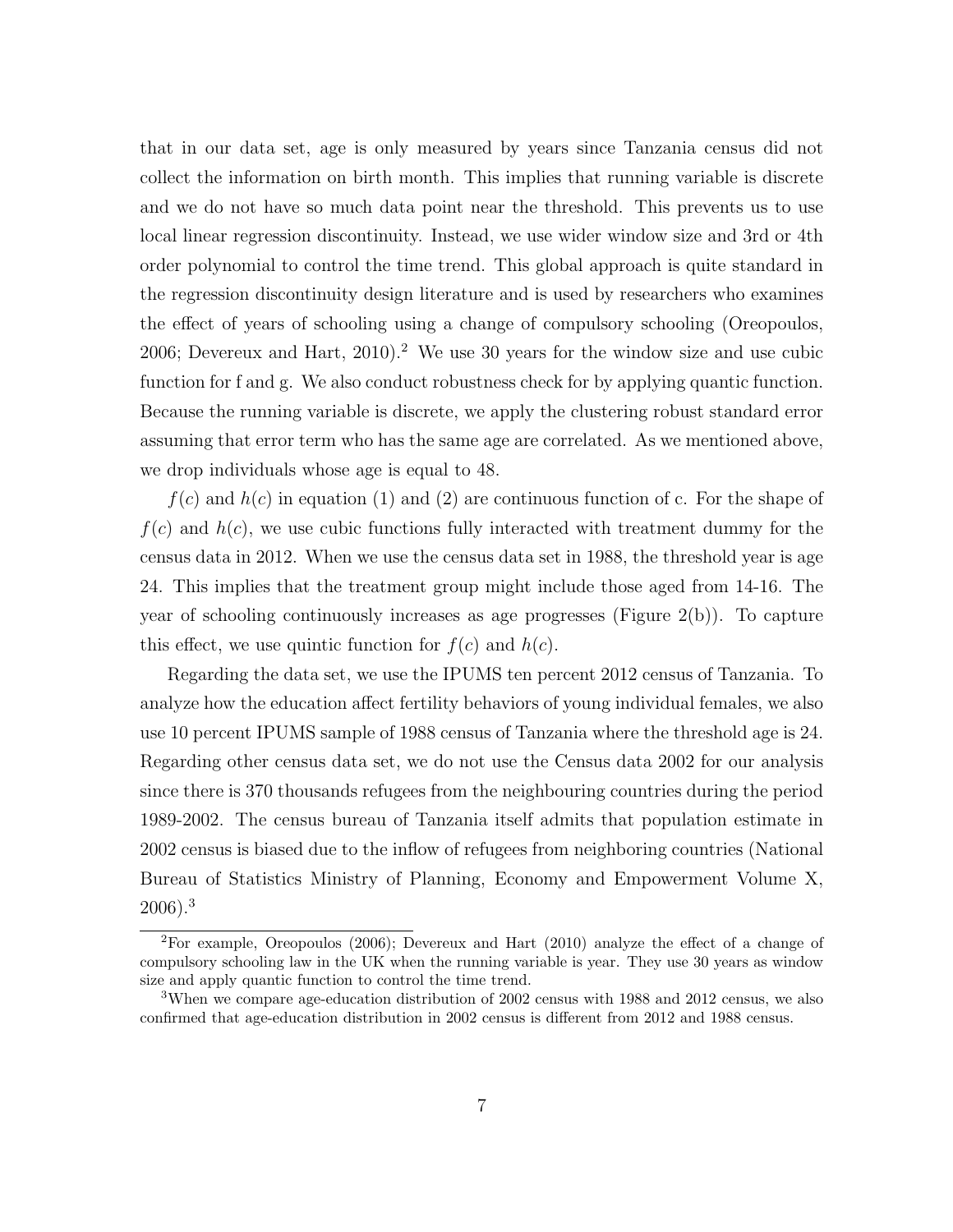that in our data set, age is only measured by years since Tanzania census did not collect the information on birth month. This implies that running variable is discrete and we do not have so much data point near the threshold. This prevents us to use local linear regression discontinuity. Instead, we use wider window size and 3rd or 4th order polynomial to control the time trend. This global approach is quite standard in the regression discontinuity design literature and is used by researchers who examines the effect of years of schooling using a change of compulsory schooling (Oreopoulos, 2006; Devereux and Hart,  $2010$ ).<sup>2</sup> We use 30 years for the window size and use cubic function for f and g. We also conduct robustness check for by applying quantic function. Because the running variable is discrete, we apply the clustering robust standard error assuming that error term who has the same age are correlated. As we mentioned above, we drop individuals whose age is equal to 48.

 $f(c)$  and  $h(c)$  in equation (1) and (2) are continuous function of c. For the shape of  $f(c)$  and  $h(c)$ , we use cubic functions fully interacted with treatment dummy for the census data in 2012. When we use the census data set in 1988, the threshold year is age 24. This implies that the treatment group might include those aged from 14-16. The year of schooling continuously increases as age progresses (Figure 2(b)). To capture this effect, we use quintic function for  $f(c)$  and  $h(c)$ .

Regarding the data set, we use the IPUMS ten percent 2012 census of Tanzania. To analyze how the education affect fertility behaviors of young individual females, we also use 10 percent IPUMS sample of 1988 census of Tanzania where the threshold age is 24. Regarding other census data set, we do not use the Census data 2002 for our analysis since there is 370 thousands refugees from the neighbouring countries during the period 1989-2002. The census bureau of Tanzania itself admits that population estimate in 2002 census is biased due to the inflow of refugees from neighboring countries (National Bureau of Statistics Ministry of Planning, Economy and Empowerment Volume X, 2006).<sup>3</sup>

<sup>2</sup>For example, Oreopoulos (2006); Devereux and Hart (2010) analyze the effect of a change of compulsory schooling law in the UK when the running variable is year. They use 30 years as window size and apply quantic function to control the time trend.

<sup>&</sup>lt;sup>3</sup>When we compare age-education distribution of 2002 census with 1988 and 2012 census, we also confirmed that age-education distribution in 2002 census is different from 2012 and 1988 census.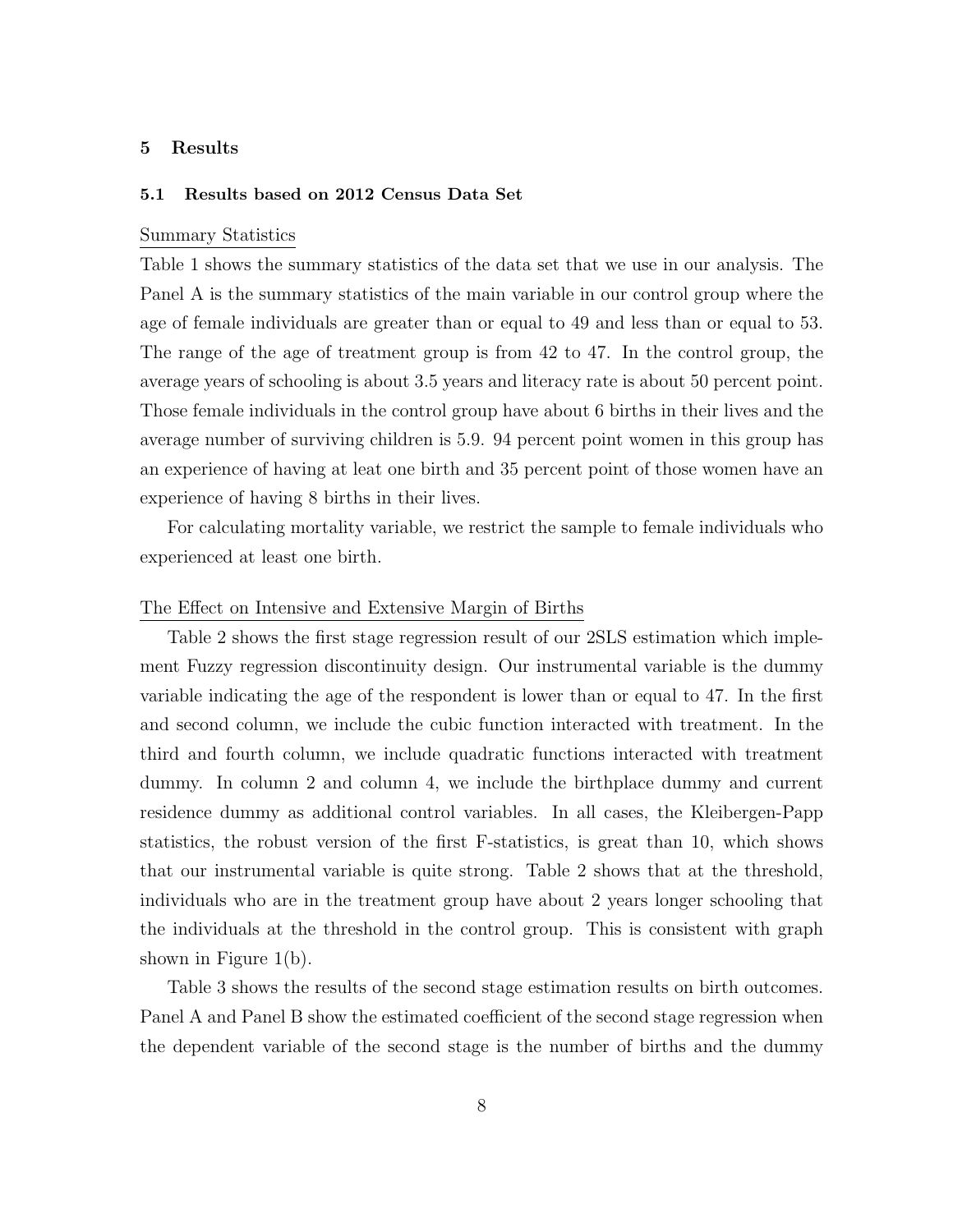#### 5 Results

#### 5.1 Results based on 2012 Census Data Set

#### Summary Statistics

Table 1 shows the summary statistics of the data set that we use in our analysis. The Panel A is the summary statistics of the main variable in our control group where the age of female individuals are greater than or equal to 49 and less than or equal to 53. The range of the age of treatment group is from 42 to 47. In the control group, the average years of schooling is about 3.5 years and literacy rate is about 50 percent point. Those female individuals in the control group have about 6 births in their lives and the average number of surviving children is 5.9. 94 percent point women in this group has an experience of having at leat one birth and 35 percent point of those women have an experience of having 8 births in their lives.

For calculating mortality variable, we restrict the sample to female individuals who experienced at least one birth.

#### The Effect on Intensive and Extensive Margin of Births

Table 2 shows the first stage regression result of our 2SLS estimation which implement Fuzzy regression discontinuity design. Our instrumental variable is the dummy variable indicating the age of the respondent is lower than or equal to 47. In the first and second column, we include the cubic function interacted with treatment. In the third and fourth column, we include quadratic functions interacted with treatment dummy. In column 2 and column 4, we include the birthplace dummy and current residence dummy as additional control variables. In all cases, the Kleibergen-Papp statistics, the robust version of the first F-statistics, is great than 10, which shows that our instrumental variable is quite strong. Table 2 shows that at the threshold, individuals who are in the treatment group have about 2 years longer schooling that the individuals at the threshold in the control group. This is consistent with graph shown in Figure 1(b).

Table 3 shows the results of the second stage estimation results on birth outcomes. Panel A and Panel B show the estimated coefficient of the second stage regression when the dependent variable of the second stage is the number of births and the dummy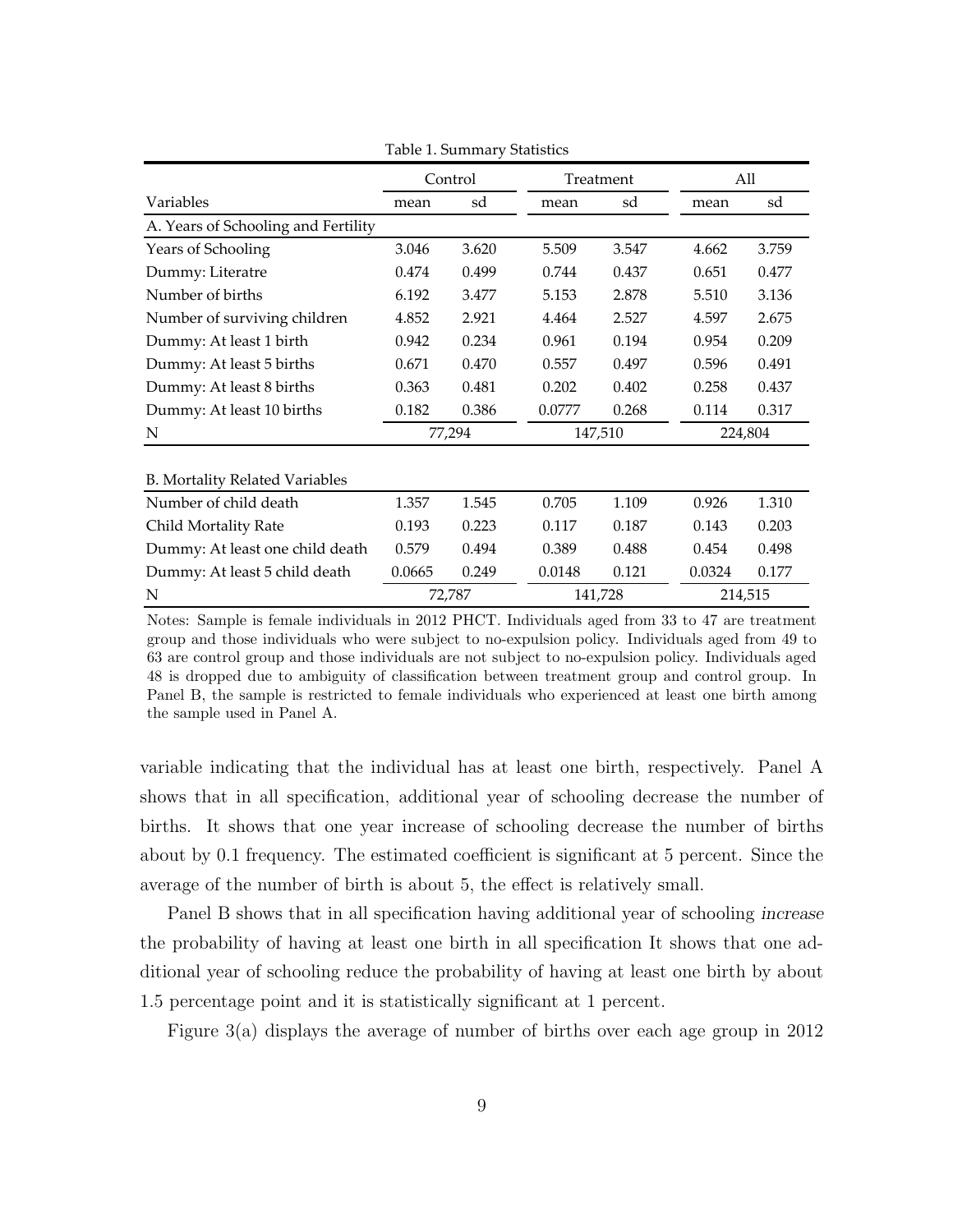|                                       | Control |        |        | Treatment |        | All     |  |
|---------------------------------------|---------|--------|--------|-----------|--------|---------|--|
| Variables                             | mean    | sd     | mean   | sd        | mean   | sd      |  |
| A. Years of Schooling and Fertility   |         |        |        |           |        |         |  |
| Years of Schooling                    | 3.046   | 3.620  | 5.509  | 3.547     | 4.662  | 3.759   |  |
| Dummy: Literatre                      | 0.474   | 0.499  | 0.744  | 0.437     | 0.651  | 0.477   |  |
| Number of births                      | 6.192   | 3.477  | 5.153  | 2.878     | 5.510  | 3.136   |  |
| Number of surviving children          | 4.852   | 2.921  | 4.464  | 2.527     | 4.597  | 2.675   |  |
| Dummy: At least 1 birth               | 0.942   | 0.234  | 0.961  | 0.194     | 0.954  | 0.209   |  |
| Dummy: At least 5 births              | 0.671   | 0.470  | 0.557  | 0.497     | 0.596  | 0.491   |  |
| Dummy: At least 8 births              | 0.363   | 0.481  | 0.202  | 0.402     | 0.258  | 0.437   |  |
| Dummy: At least 10 births             | 0.182   | 0.386  | 0.0777 | 0.268     | 0.114  | 0.317   |  |
| N                                     | 77,294  |        |        | 147,510   |        | 224,804 |  |
| <b>B. Mortality Related Variables</b> |         |        |        |           |        |         |  |
| Number of child death                 | 1.357   | 1.545  | 0.705  | 1.109     | 0.926  | 1.310   |  |
| Child Mortality Rate                  | 0.193   | 0.223  | 0.117  | 0.187     | 0.143  | 0.203   |  |
| Dummy: At least one child death       | 0.579   | 0.494  | 0.389  | 0.488     | 0.454  | 0.498   |  |
| Dummy: At least 5 child death         | 0.0665  | 0.249  | 0.0148 | 0.121     | 0.0324 | 0.177   |  |
| N                                     |         | 72,787 |        | 141,728   |        | 214,515 |  |

Table 1. Summary Statistics

Notes: Sample is female individuals in 2012 PHCT. Individuals aged from 33 to 47 are treatment group and those individuals who were subject to no-expulsion policy. Individuals aged from 49 to 63 are control group and those individuals are not subject to no-expulsion policy. Individuals aged 48 is dropped due to ambiguity of classification between treatment group and control group. In Panel B, the sample is restricted to female individuals who experienced at least one birth among the sample used in Panel A.

variable indicating that the individual has at least one birth, respectively. Panel A shows that in all specification, additional year of schooling decrease the number of births. It shows that one year increase of schooling decrease the number of births about by 0.1 frequency. The estimated coefficient is significant at 5 percent. Since the average of the number of birth is about 5, the effect is relatively small.

Panel B shows that in all specification having additional year of schooling increase the probability of having at least one birth in all specification It shows that one additional year of schooling reduce the probability of having at least one birth by about 1.5 percentage point and it is statistically significant at 1 percent.

Figure 3(a) displays the average of number of births over each age group in 2012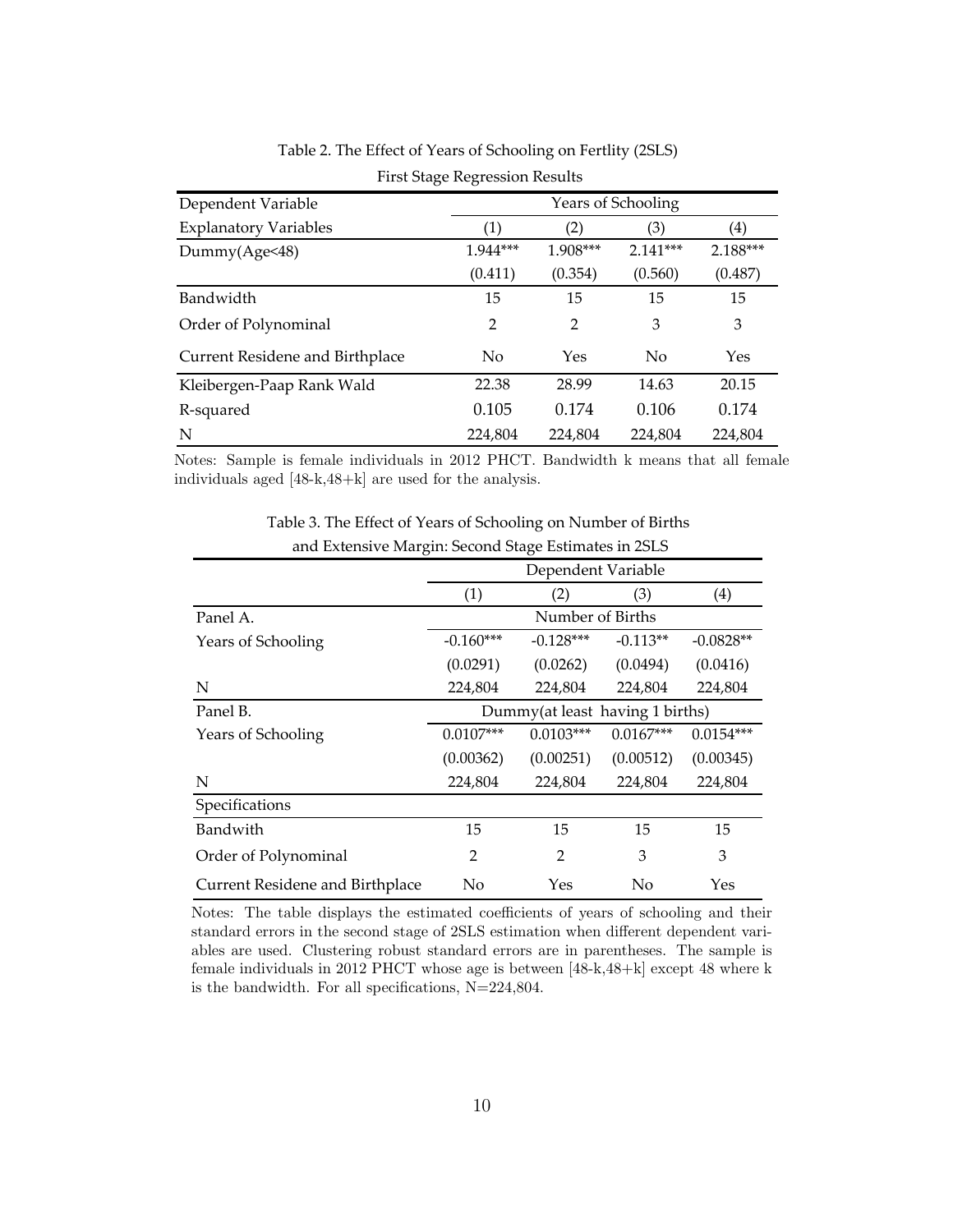| Dependent Variable              | Years of Schooling |          |            |                   |  |  |
|---------------------------------|--------------------|----------|------------|-------------------|--|--|
| <b>Explanatory Variables</b>    | (1)                | (2)      | (3)        | $\left( 4\right)$ |  |  |
| Dummy(Age<48)                   | 1.944***           | 1.908*** | $2.141***$ | 2.188***          |  |  |
|                                 | (0.411)            | (0.354)  | (0.560)    | (0.487)           |  |  |
| Bandwidth                       | 15                 | 15       | 15         | 15                |  |  |
| Order of Polynominal            | $\overline{2}$     | 2        | 3          | 3                 |  |  |
| Current Residene and Birthplace | N <sub>0</sub>     | Yes      | No         | Yes               |  |  |
| Kleibergen-Paap Rank Wald       | 22.38              | 28.99    | 14.63      | 20.15             |  |  |
| R-squared                       | 0.105              | 0.174    | 0.106      | 0.174             |  |  |
| N                               | 224,804            | 224.804  | 224.804    | 224.804           |  |  |

Table 2. The Effect of Years of Schooling on Fertlity (2SLS)

First Stage Regression Results

Notes: Sample is female individuals in 2012 PHCT. Bandwidth k means that all female individuals aged [48-k,48+k] are used for the analysis.

| $\ldots$ $\ldots$ $\ldots$ $\ldots$ |                                           |                |            |             |  |  |
|-------------------------------------|-------------------------------------------|----------------|------------|-------------|--|--|
|                                     | Dependent Variable                        |                |            |             |  |  |
|                                     | (1)                                       | (2)            | (3)        | (4)         |  |  |
| Panel A.                            | Number of Births                          |                |            |             |  |  |
| Years of Schooling                  | $-0.160***$                               | $-0.128***$    | $-0.113**$ | $-0.0828**$ |  |  |
|                                     | (0.0291)                                  | (0.0262)       | (0.0494)   | (0.0416)    |  |  |
| N                                   | 224,804                                   | 224,804        | 224,804    | 224,804     |  |  |
| Panel B.                            | Dummy(at least having 1 births)           |                |            |             |  |  |
| Years of Schooling                  | $0.0103***$<br>$0.0107***$<br>$0.0167***$ |                |            | $0.0154***$ |  |  |
|                                     | (0.00362)                                 | (0.00251)      | (0.00512)  | (0.00345)   |  |  |
| N                                   | 224,804                                   | 224,804        | 224,804    | 224,804     |  |  |
| Specifications                      |                                           |                |            |             |  |  |
| Bandwith                            | 15                                        | 15             | 15         | 15          |  |  |
| Order of Polynominal                | $\mathfrak{D}$                            | $\mathfrak{D}$ | 3          | 3           |  |  |
| Current Residene and Birthplace     | No                                        | Yes            | No         | Yes         |  |  |

Table 3. The Effect of Years of Schooling on Number of Births and Extensive Margin: Second Stage Estimates in 2SLS

Notes: The table displays the estimated coefficients of years of schooling and their standard errors in the second stage of 2SLS estimation when different dependent variables are used. Clustering robust standard errors are in parentheses. The sample is female individuals in 2012 PHCT whose age is between [48-k,48+k] except 48 where k is the bandwidth. For all specifications, N=224,804.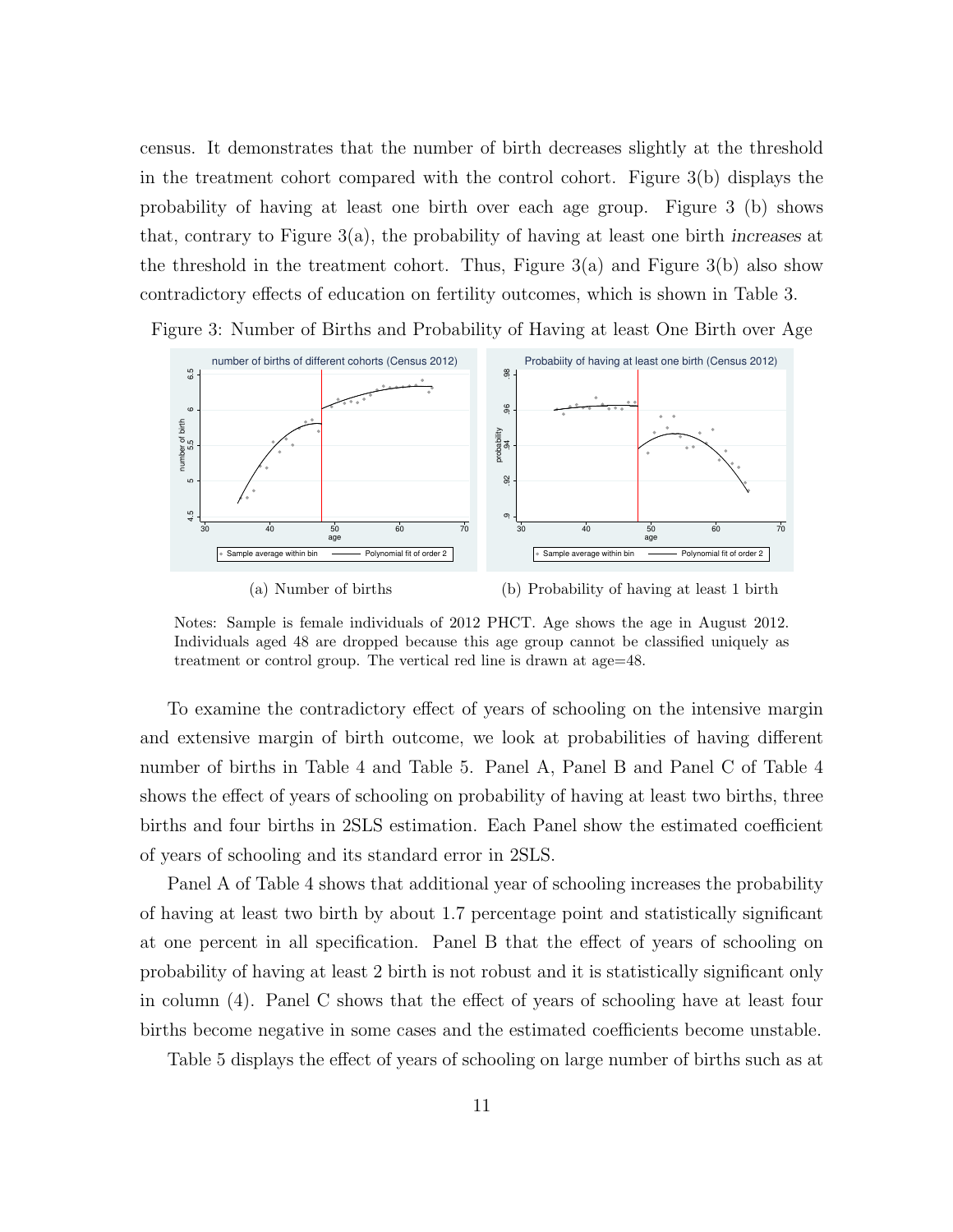census. It demonstrates that the number of birth decreases slightly at the threshold in the treatment cohort compared with the control cohort. Figure 3(b) displays the probability of having at least one birth over each age group. Figure 3 (b) shows that, contrary to Figure 3(a), the probability of having at least one birth increases at the threshold in the treatment cohort. Thus, Figure  $3(a)$  and Figure  $3(b)$  also show contradictory effects of education on fertility outcomes, which is shown in Table 3.

Figure 3: Number of Births and Probability of Having at least One Birth over Age





(b) Probability of having at least 1 birth

Notes: Sample is female individuals of 2012 PHCT. Age shows the age in August 2012. Individuals aged 48 are dropped because this age group cannot be classified uniquely as treatment or control group. The vertical red line is drawn at age=48.

To examine the contradictory effect of years of schooling on the intensive margin and extensive margin of birth outcome, we look at probabilities of having different number of births in Table 4 and Table 5. Panel A, Panel B and Panel C of Table 4 shows the effect of years of schooling on probability of having at least two births, three births and four births in 2SLS estimation. Each Panel show the estimated coefficient of years of schooling and its standard error in 2SLS.

Panel A of Table 4 shows that additional year of schooling increases the probability of having at least two birth by about 1.7 percentage point and statistically significant at one percent in all specification. Panel B that the effect of years of schooling on probability of having at least 2 birth is not robust and it is statistically significant only in column (4). Panel C shows that the effect of years of schooling have at least four births become negative in some cases and the estimated coefficients become unstable.

Table 5 displays the effect of years of schooling on large number of births such as at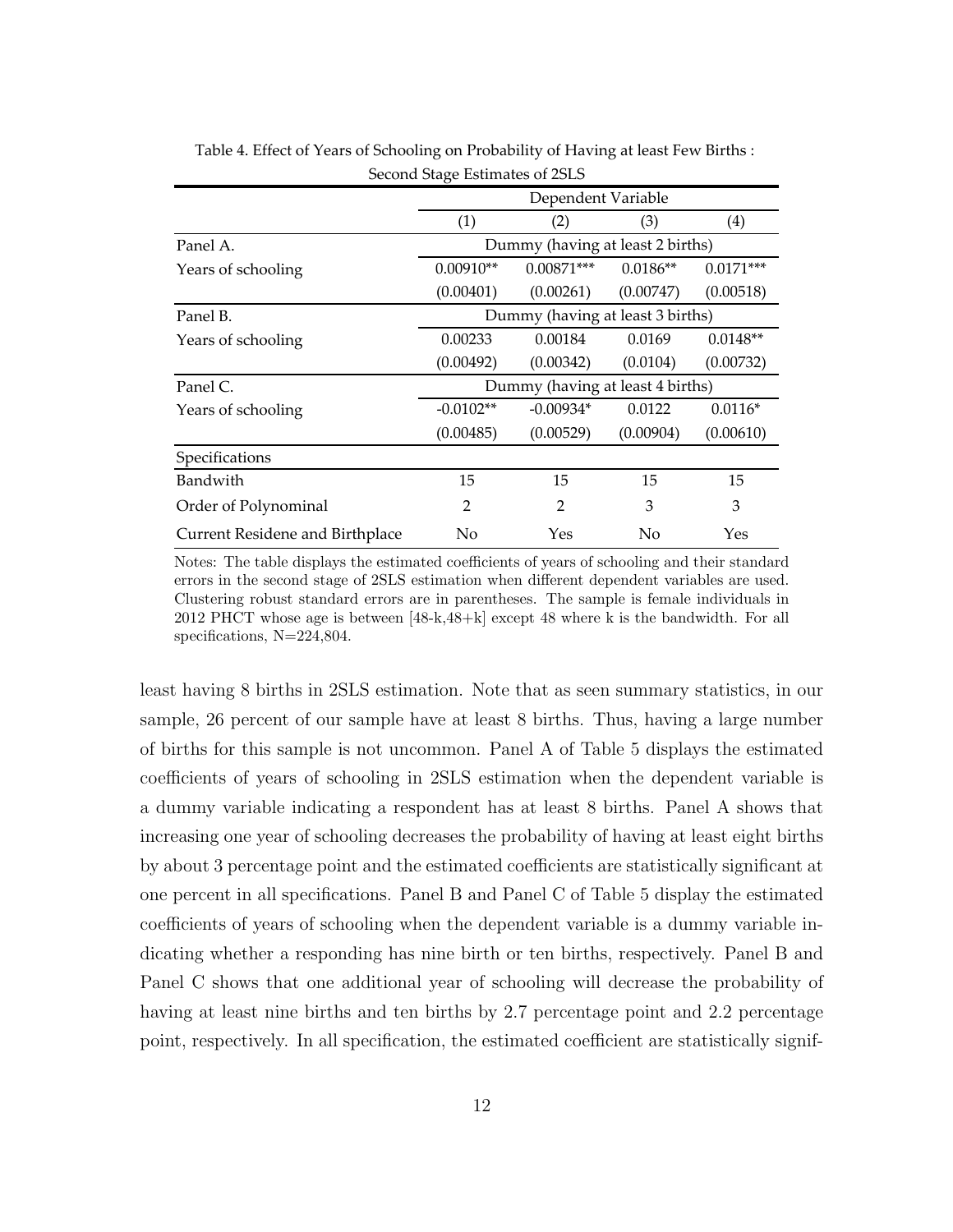| $\alpha$ correcting $\alpha$ and $\alpha$ and $\alpha$ and $\alpha$ and $\alpha$ and $\alpha$ and $\alpha$ and $\alpha$ and $\alpha$ and $\alpha$ and $\alpha$ and $\alpha$ and $\alpha$ and $\alpha$ and $\alpha$ and $\alpha$ and $\alpha$ and $\alpha$ and $\alpha$ and $\alpha$ and $\alpha$ and $\alpha$ and $\alpha$ an |                                  |                                  |            |             |  |  |
|-------------------------------------------------------------------------------------------------------------------------------------------------------------------------------------------------------------------------------------------------------------------------------------------------------------------------------|----------------------------------|----------------------------------|------------|-------------|--|--|
|                                                                                                                                                                                                                                                                                                                               | Dependent Variable               |                                  |            |             |  |  |
|                                                                                                                                                                                                                                                                                                                               | (1)                              | (2)                              | (3)        | (4)         |  |  |
| Panel A.                                                                                                                                                                                                                                                                                                                      | Dummy (having at least 2 births) |                                  |            |             |  |  |
| Years of schooling                                                                                                                                                                                                                                                                                                            | $0.00910**$                      | $0.00871***$                     | $0.0186**$ | $0.0171***$ |  |  |
|                                                                                                                                                                                                                                                                                                                               | (0.00401)                        | (0.00261)                        | (0.00747)  | (0.00518)   |  |  |
| Panel B.                                                                                                                                                                                                                                                                                                                      | Dummy (having at least 3 births) |                                  |            |             |  |  |
| Years of schooling                                                                                                                                                                                                                                                                                                            | 0.00233                          | 0.00184                          | 0.0169     | $0.0148**$  |  |  |
|                                                                                                                                                                                                                                                                                                                               | (0.00492)                        | (0.00342)                        | (0.0104)   | (0.00732)   |  |  |
| Panel C.                                                                                                                                                                                                                                                                                                                      |                                  | Dummy (having at least 4 births) |            |             |  |  |
| Years of schooling                                                                                                                                                                                                                                                                                                            | $-0.0102**$                      | $-0.00934*$                      | 0.0122     | $0.0116*$   |  |  |
|                                                                                                                                                                                                                                                                                                                               | (0.00485)                        | (0.00529)                        | (0.00904)  | (0.00610)   |  |  |
| Specifications                                                                                                                                                                                                                                                                                                                |                                  |                                  |            |             |  |  |
| Bandwith                                                                                                                                                                                                                                                                                                                      | 15                               | 15                               | 15         | 15          |  |  |
| Order of Polynominal                                                                                                                                                                                                                                                                                                          | 2                                | $\overline{2}$                   | 3          | 3           |  |  |
| Current Residene and Birthplace                                                                                                                                                                                                                                                                                               | No                               | Yes                              | No         | Yes         |  |  |

Table 4. Effect of Years of Schooling on Probability of Having at least Few Births : Second Stage Estimates of 2SLS

Notes: The table displays the estimated coefficients of years of schooling and their standard errors in the second stage of 2SLS estimation when different dependent variables are used. Clustering robust standard errors are in parentheses. The sample is female individuals in 2012 PHCT whose age is between [48-k,48+k] except 48 where k is the bandwidth. For all specifications, N=224,804.

least having 8 births in 2SLS estimation. Note that as seen summary statistics, in our sample, 26 percent of our sample have at least 8 births. Thus, having a large number of births for this sample is not uncommon. Panel A of Table 5 displays the estimated coefficients of years of schooling in 2SLS estimation when the dependent variable is a dummy variable indicating a respondent has at least 8 births. Panel A shows that increasing one year of schooling decreases the probability of having at least eight births by about 3 percentage point and the estimated coefficients are statistically significant at one percent in all specifications. Panel B and Panel C of Table 5 display the estimated coefficients of years of schooling when the dependent variable is a dummy variable indicating whether a responding has nine birth or ten births, respectively. Panel B and Panel C shows that one additional year of schooling will decrease the probability of having at least nine births and ten births by 2.7 percentage point and 2.2 percentage point, respectively. In all specification, the estimated coefficient are statistically signif-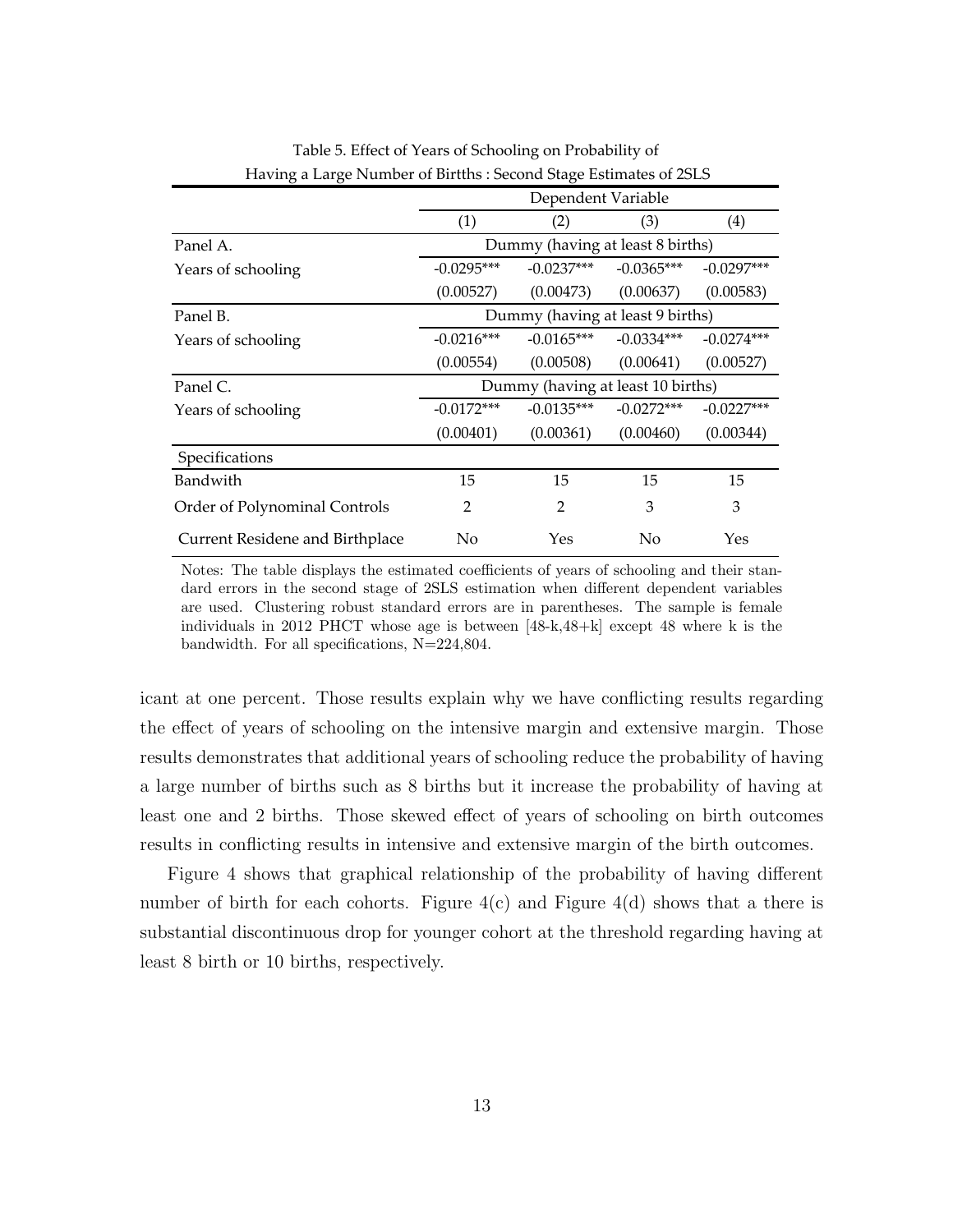| Travilly a Large Number of Diffuls . Second stage Estimates of 23L3 |                                   |                |              |              |  |  |
|---------------------------------------------------------------------|-----------------------------------|----------------|--------------|--------------|--|--|
|                                                                     | Dependent Variable                |                |              |              |  |  |
|                                                                     | (1)                               | (2)            | (3)          | (4)          |  |  |
| Panel A.                                                            | Dummy (having at least 8 births)  |                |              |              |  |  |
| Years of schooling                                                  | $-0.0295***$                      | $-0.0237***$   | $-0.0365***$ | $-0.0297***$ |  |  |
|                                                                     | (0.00527)                         | (0.00473)      | (0.00637)    | (0.00583)    |  |  |
| Panel B.                                                            | Dummy (having at least 9 births)  |                |              |              |  |  |
| Years of schooling                                                  | $-0.0216***$                      | $-0.0165***$   | $-0.0334***$ | $-0.0274***$ |  |  |
|                                                                     | (0.00554)                         | (0.00508)      | (0.00641)    | (0.00527)    |  |  |
| Panel C.                                                            | Dummy (having at least 10 births) |                |              |              |  |  |
| Years of schooling                                                  | $-0.0172***$                      | $-0.0135***$   | $-0.0272***$ | $-0.0227***$ |  |  |
|                                                                     | (0.00401)                         | (0.00361)      | (0.00460)    | (0.00344)    |  |  |
| Specifications                                                      |                                   |                |              |              |  |  |
| Bandwith                                                            | 15                                | 15             | 15           | 15           |  |  |
| Order of Polynominal Controls                                       | 2                                 | $\overline{2}$ | 3            | 3            |  |  |
| Current Residene and Birthplace                                     | No<br>Yes<br>No<br>Yes            |                |              |              |  |  |

Table 5. Effect of Years of Schooling on Probability of Having a Large Number of Birtths : Second Stage Estimates of 2SLS

Notes: The table displays the estimated coefficients of years of schooling and their standard errors in the second stage of 2SLS estimation when different dependent variables are used. Clustering robust standard errors are in parentheses. The sample is female individuals in 2012 PHCT whose age is between [48-k,48+k] except 48 where k is the bandwidth. For all specifications, N=224,804.

icant at one percent. Those results explain why we have conflicting results regarding the effect of years of schooling on the intensive margin and extensive margin. Those results demonstrates that additional years of schooling reduce the probability of having a large number of births such as 8 births but it increase the probability of having at least one and 2 births. Those skewed effect of years of schooling on birth outcomes results in conflicting results in intensive and extensive margin of the birth outcomes.

Figure 4 shows that graphical relationship of the probability of having different number of birth for each cohorts. Figure  $4(c)$  and Figure  $4(d)$  shows that a there is substantial discontinuous drop for younger cohort at the threshold regarding having at least 8 birth or 10 births, respectively.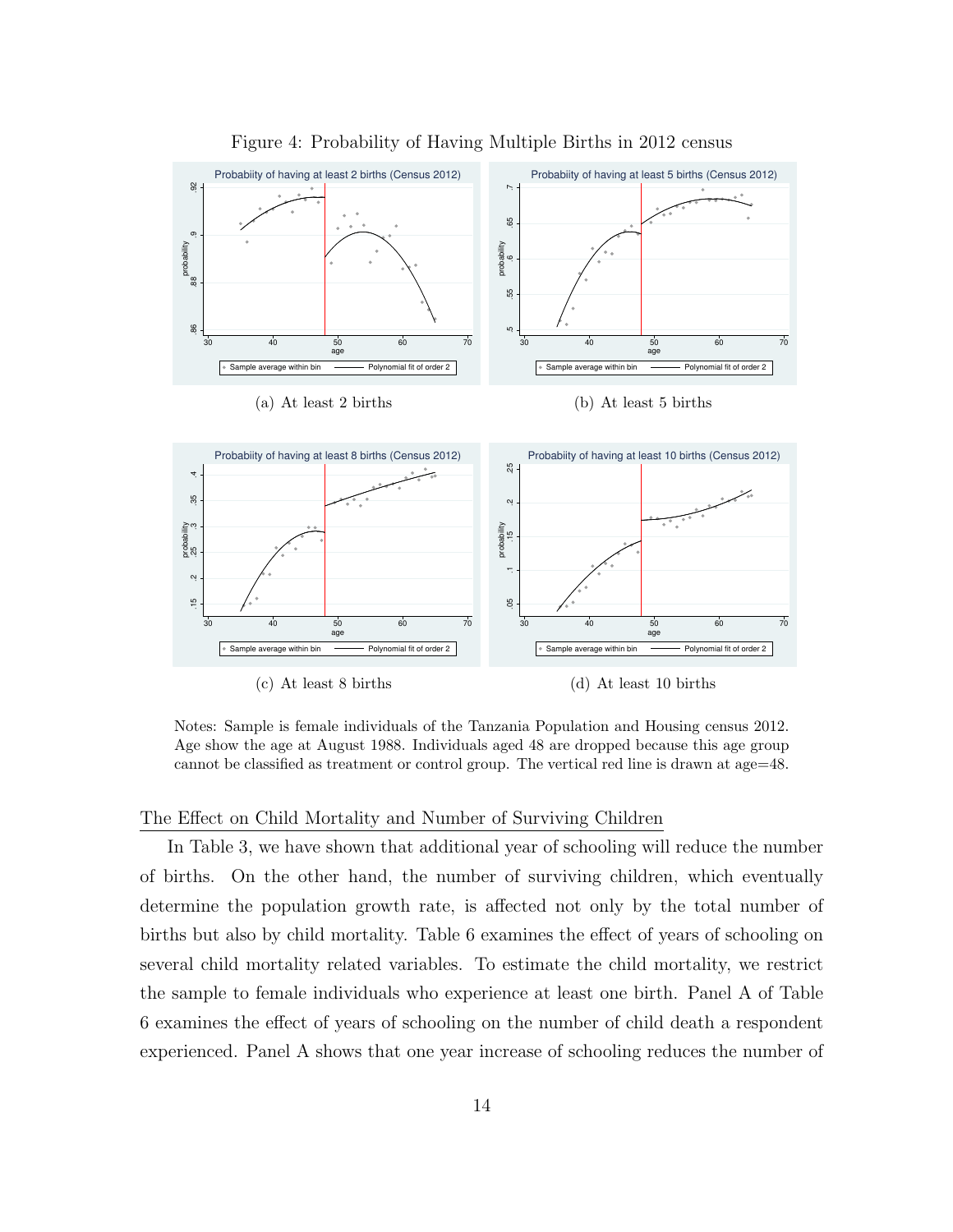

Figure 4: Probability of Having Multiple Births in 2012 census

Notes: Sample is female individuals of the Tanzania Population and Housing census 2012. Age show the age at August 1988. Individuals aged 48 are dropped because this age group cannot be classified as treatment or control group. The vertical red line is drawn at age=48.

#### The Effect on Child Mortality and Number of Surviving Children

In Table 3, we have shown that additional year of schooling will reduce the number of births. On the other hand, the number of surviving children, which eventually determine the population growth rate, is affected not only by the total number of births but also by child mortality. Table 6 examines the effect of years of schooling on several child mortality related variables. To estimate the child mortality, we restrict the sample to female individuals who experience at least one birth. Panel A of Table 6 examines the effect of years of schooling on the number of child death a respondent experienced. Panel A shows that one year increase of schooling reduces the number of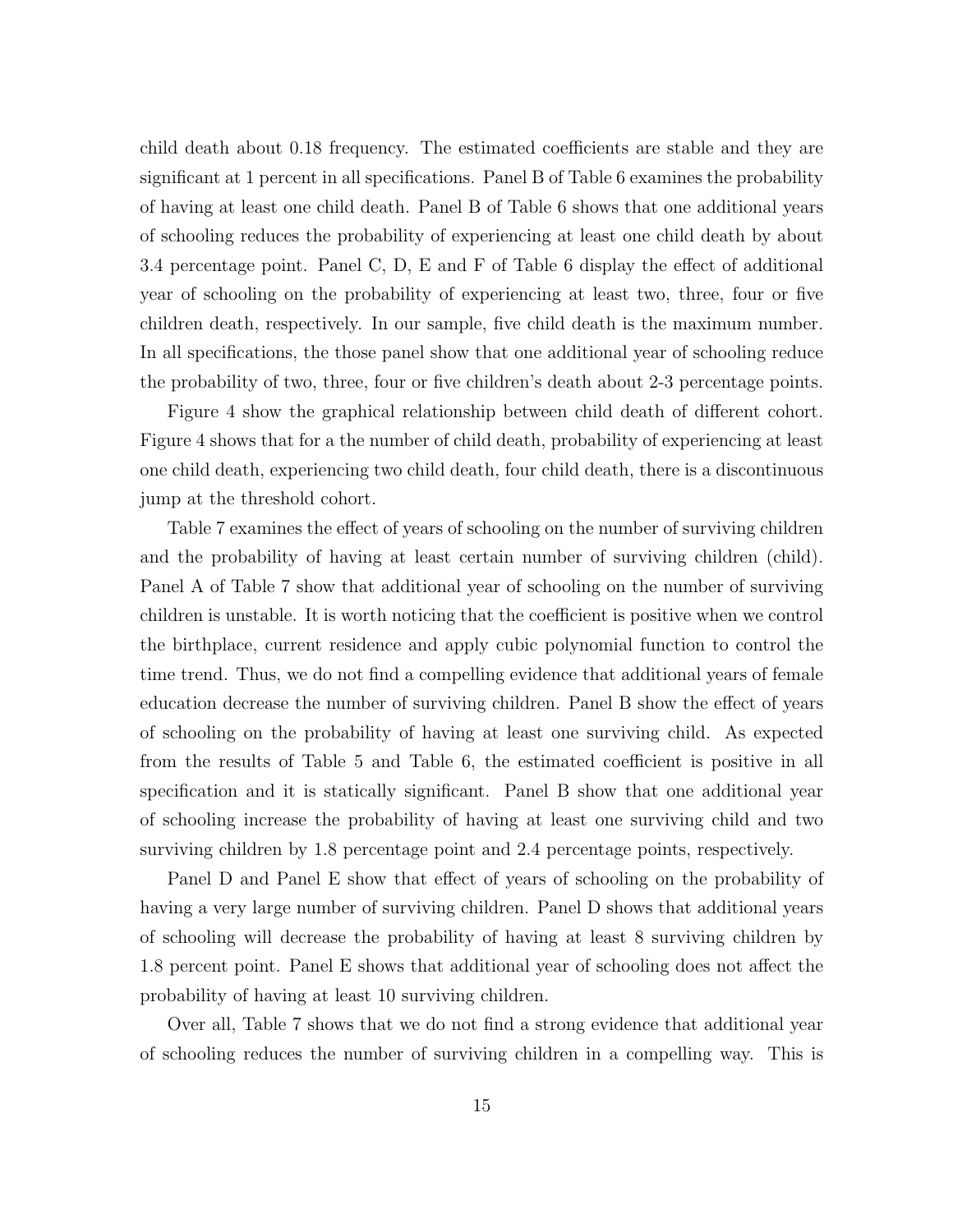child death about 0.18 frequency. The estimated coefficients are stable and they are significant at 1 percent in all specifications. Panel B of Table 6 examines the probability of having at least one child death. Panel B of Table 6 shows that one additional years of schooling reduces the probability of experiencing at least one child death by about 3.4 percentage point. Panel C, D, E and F of Table 6 display the effect of additional year of schooling on the probability of experiencing at least two, three, four or five children death, respectively. In our sample, five child death is the maximum number. In all specifications, the those panel show that one additional year of schooling reduce the probability of two, three, four or five children's death about 2-3 percentage points.

Figure 4 show the graphical relationship between child death of different cohort. Figure 4 shows that for a the number of child death, probability of experiencing at least one child death, experiencing two child death, four child death, there is a discontinuous jump at the threshold cohort.

Table 7 examines the effect of years of schooling on the number of surviving children and the probability of having at least certain number of surviving children (child). Panel A of Table 7 show that additional year of schooling on the number of surviving children is unstable. It is worth noticing that the coefficient is positive when we control the birthplace, current residence and apply cubic polynomial function to control the time trend. Thus, we do not find a compelling evidence that additional years of female education decrease the number of surviving children. Panel B show the effect of years of schooling on the probability of having at least one surviving child. As expected from the results of Table 5 and Table 6, the estimated coefficient is positive in all specification and it is statically significant. Panel B show that one additional year of schooling increase the probability of having at least one surviving child and two surviving children by 1.8 percentage point and 2.4 percentage points, respectively.

Panel D and Panel E show that effect of years of schooling on the probability of having a very large number of surviving children. Panel D shows that additional years of schooling will decrease the probability of having at least 8 surviving children by 1.8 percent point. Panel E shows that additional year of schooling does not affect the probability of having at least 10 surviving children.

Over all, Table 7 shows that we do not find a strong evidence that additional year of schooling reduces the number of surviving children in a compelling way. This is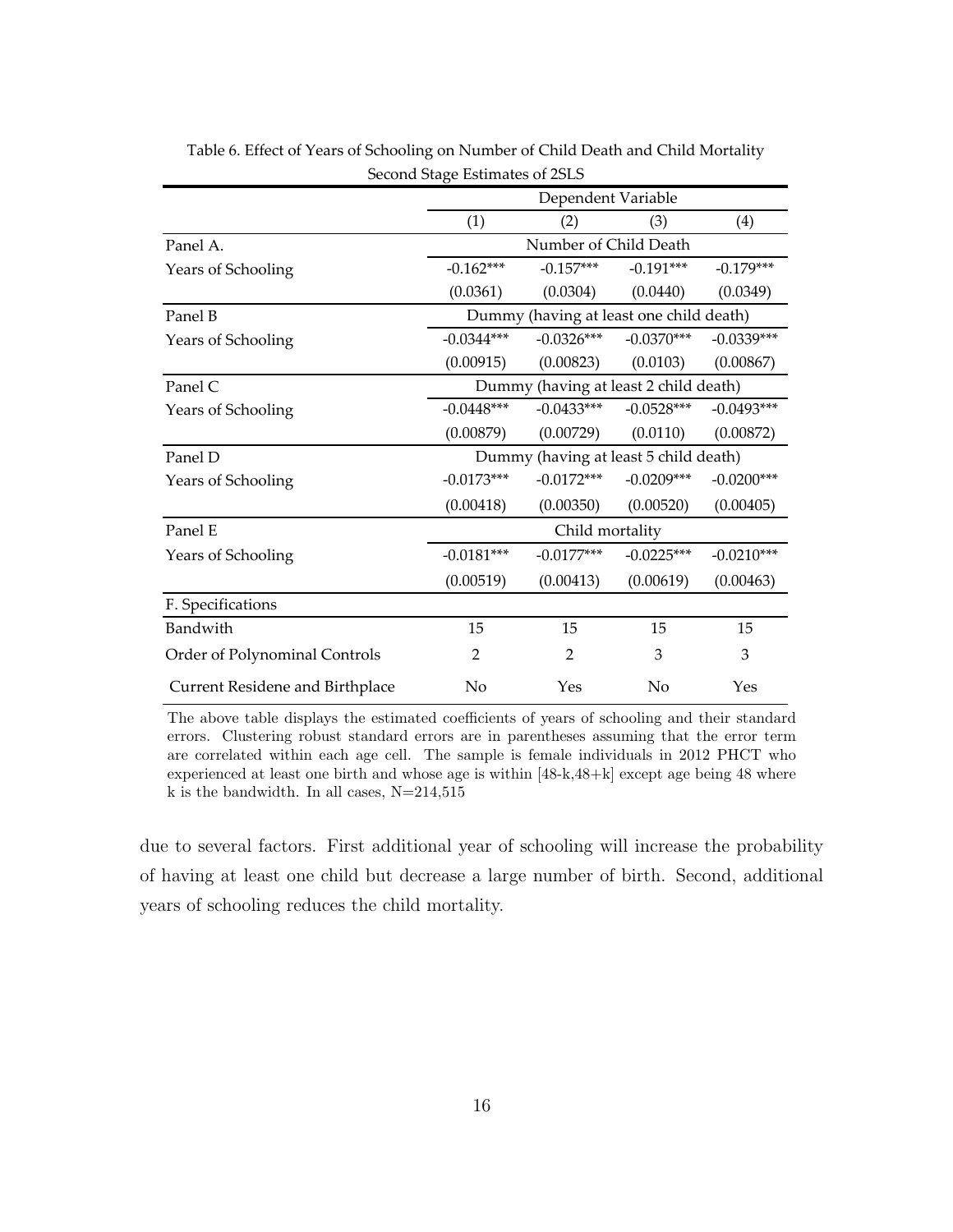|                                 | O                                     | Dependent Variable                      |              |              |  |  |  |
|---------------------------------|---------------------------------------|-----------------------------------------|--------------|--------------|--|--|--|
|                                 | (1)                                   | (2)                                     | (3)          | (4)          |  |  |  |
| Panel A.                        | Number of Child Death                 |                                         |              |              |  |  |  |
| Years of Schooling              | $-0.162***$                           | $-0.157***$                             | $-0.191***$  | $-0.179***$  |  |  |  |
|                                 | (0.0361)                              | (0.0304)                                | (0.0440)     | (0.0349)     |  |  |  |
| Panel B                         |                                       | Dummy (having at least one child death) |              |              |  |  |  |
| Years of Schooling              | $-0.0344***$                          | $-0.0326***$                            | $-0.0370***$ | $-0.0339***$ |  |  |  |
|                                 | (0.00915)                             | (0.00823)                               | (0.0103)     | (0.00867)    |  |  |  |
| Panel C                         | Dummy (having at least 2 child death) |                                         |              |              |  |  |  |
| Years of Schooling              | $-0.0448***$                          | $-0.0433***$                            | $-0.0528***$ | $-0.0493***$ |  |  |  |
|                                 | (0.00879)                             | (0.00729)                               | (0.0110)     | (0.00872)    |  |  |  |
| Panel D                         | Dummy (having at least 5 child death) |                                         |              |              |  |  |  |
| Years of Schooling              | $-0.0173***$                          | $-0.0172***$                            | $-0.0209***$ | $-0.0200***$ |  |  |  |
|                                 | (0.00418)                             | (0.00350)                               | (0.00520)    | (0.00405)    |  |  |  |
| Panel E                         |                                       | Child mortality                         |              |              |  |  |  |
| Years of Schooling              | $-0.0181***$                          | $-0.0177***$                            | $-0.0225***$ | $-0.0210***$ |  |  |  |
|                                 | (0.00519)                             | (0.00413)                               | (0.00619)    | (0.00463)    |  |  |  |
| F. Specifications               |                                       |                                         |              |              |  |  |  |
| Bandwith                        | 15                                    | 15                                      | 15           | 15           |  |  |  |
| Order of Polynominal Controls   | $\mathfrak{D}$                        | 2                                       | 3            | 3            |  |  |  |
| Current Residene and Birthplace | No                                    | Yes                                     | No           | Yes          |  |  |  |

Table 6. Effect of Years of Schooling on Number of Child Death and Child Mortality Second Stage Estimates of 2SLS

The above table displays the estimated coefficients of years of schooling and their standard errors. Clustering robust standard errors are in parentheses assuming that the error term are correlated within each age cell. The sample is female individuals in 2012 PHCT who experienced at least one birth and whose age is within [48-k,48+k] except age being 48 where k is the bandwidth. In all cases,  $N=214,515$ 

due to several factors. First additional year of schooling will increase the probability of having at least one child but decrease a large number of birth. Second, additional years of schooling reduces the child mortality.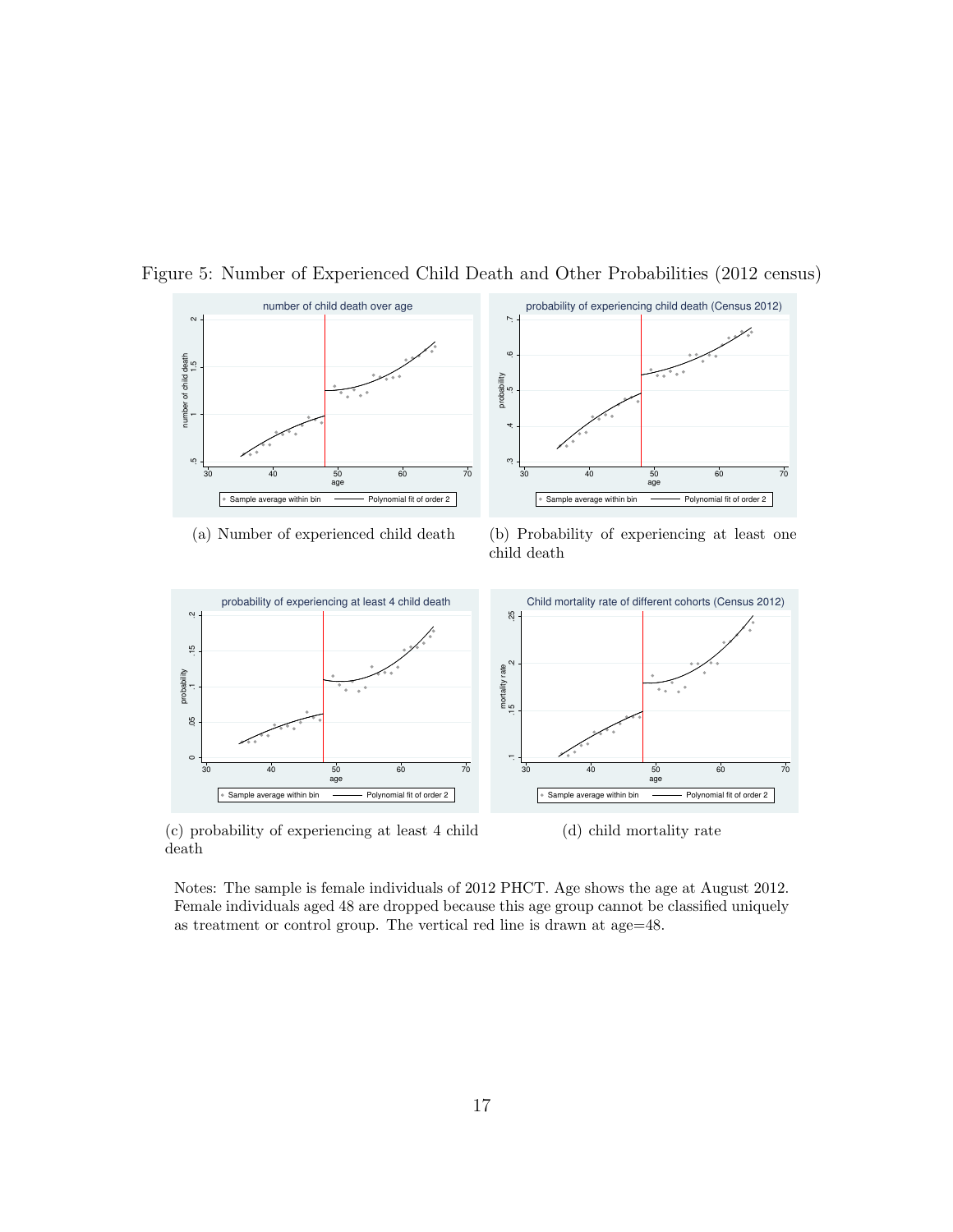

Figure 5: Number of Experienced Child Death and Other Probabilities (2012 census)

(a) Number of experienced child death

(b) Probability of experiencing at least one child death



(c) probability of experiencing at least 4 child death

(d) child mortality rate

Notes: The sample is female individuals of 2012 PHCT. Age shows the age at August 2012. Female individuals aged 48 are dropped because this age group cannot be classified uniquely as treatment or control group. The vertical red line is drawn at age=48.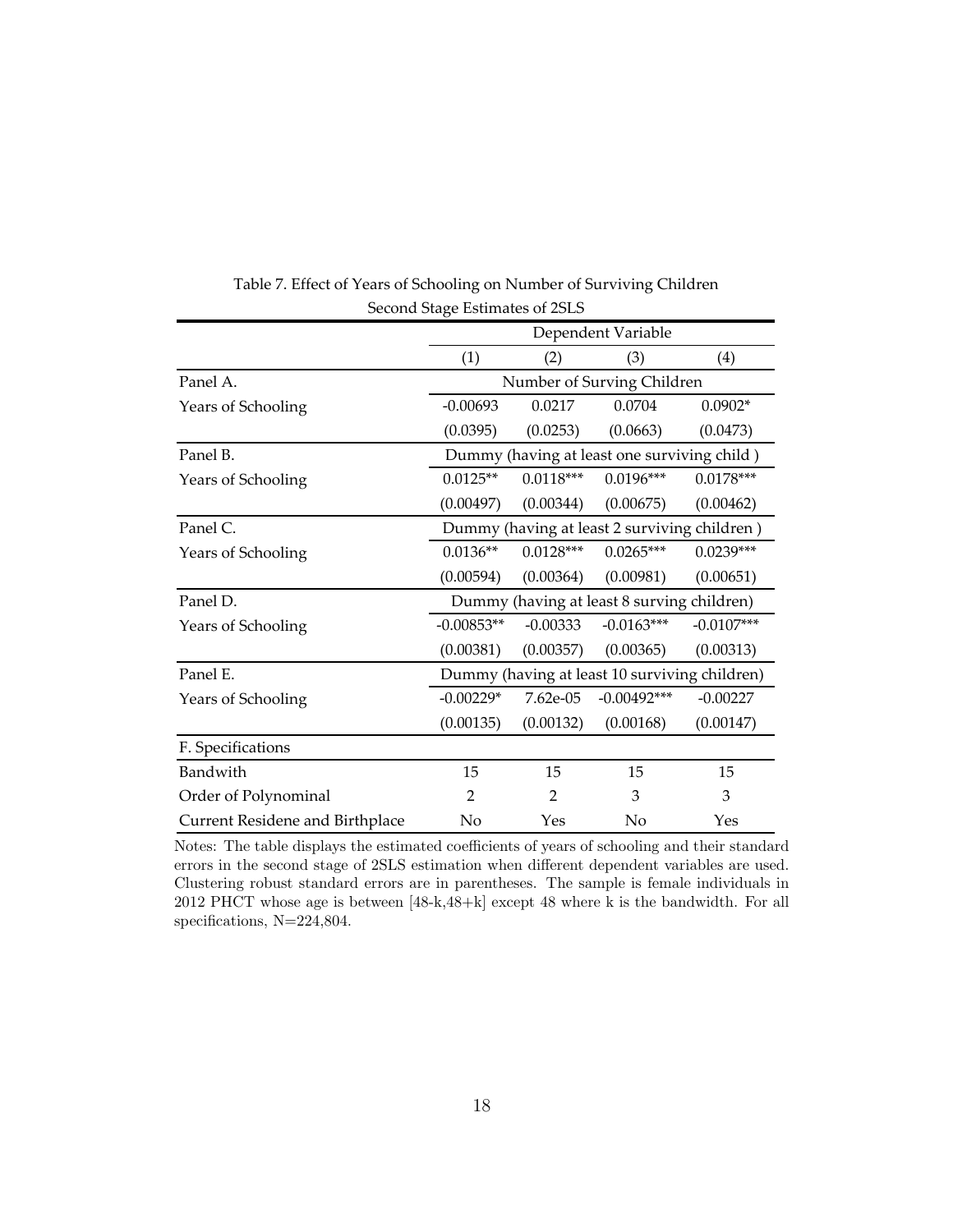|                                        | Dependent Variable |                                              |                                               |              |  |  |  |
|----------------------------------------|--------------------|----------------------------------------------|-----------------------------------------------|--------------|--|--|--|
|                                        | (1)                | (2)                                          | (3)                                           | (4)          |  |  |  |
| Panel A.                               |                    | Number of Surving Children                   |                                               |              |  |  |  |
| Years of Schooling                     | $-0.00693$         | 0.0217                                       | 0.0704                                        | $0.0902*$    |  |  |  |
|                                        | (0.0395)           | (0.0253)                                     | (0.0663)                                      | (0.0473)     |  |  |  |
| Panel B.                               |                    |                                              | Dummy (having at least one surviving child)   |              |  |  |  |
| Years of Schooling                     | $0.0125**$         | $0.0118***$                                  | $0.0196***$                                   | $0.0178***$  |  |  |  |
|                                        | (0.00497)          | (0.00344)                                    | (0.00675)                                     | (0.00462)    |  |  |  |
| Panel C.                               |                    | Dummy (having at least 2 surviving children) |                                               |              |  |  |  |
| Years of Schooling                     | $0.0136**$         | $0.0128***$                                  | $0.0265***$                                   | $0.0239***$  |  |  |  |
|                                        | (0.00594)          | (0.00364)                                    | (0.00981)                                     | (0.00651)    |  |  |  |
| Panel D.                               |                    |                                              | Dummy (having at least 8 surving children)    |              |  |  |  |
| Years of Schooling                     | $-0.00853**$       | $-0.00333$                                   | $-0.0163***$                                  | $-0.0107***$ |  |  |  |
|                                        | (0.00381)          | (0.00357)                                    | (0.00365)                                     | (0.00313)    |  |  |  |
| Panel E.                               |                    |                                              | Dummy (having at least 10 surviving children) |              |  |  |  |
| Years of Schooling                     | $-0.00229*$        | 7.62e-05                                     | $-0.00492***$                                 | $-0.00227$   |  |  |  |
|                                        | (0.00135)          | (0.00132)                                    | (0.00168)                                     | (0.00147)    |  |  |  |
| F. Specifications                      |                    |                                              |                                               |              |  |  |  |
| Bandwith                               | 15                 | 15                                           | 15                                            | 15           |  |  |  |
| Order of Polynominal                   | $\overline{2}$     | 2                                            | 3                                             | 3            |  |  |  |
| <b>Current Residene and Birthplace</b> | No                 | Yes                                          | No                                            | Yes          |  |  |  |

Table 7. Effect of Years of Schooling on Number of Surviving Children Second Stage Estimates of 2SLS

Notes: The table displays the estimated coefficients of years of schooling and their standard errors in the second stage of 2SLS estimation when different dependent variables are used. Clustering robust standard errors are in parentheses. The sample is female individuals in 2012 PHCT whose age is between [48-k,48+k] except 48 where k is the bandwidth. For all specifications, N=224,804.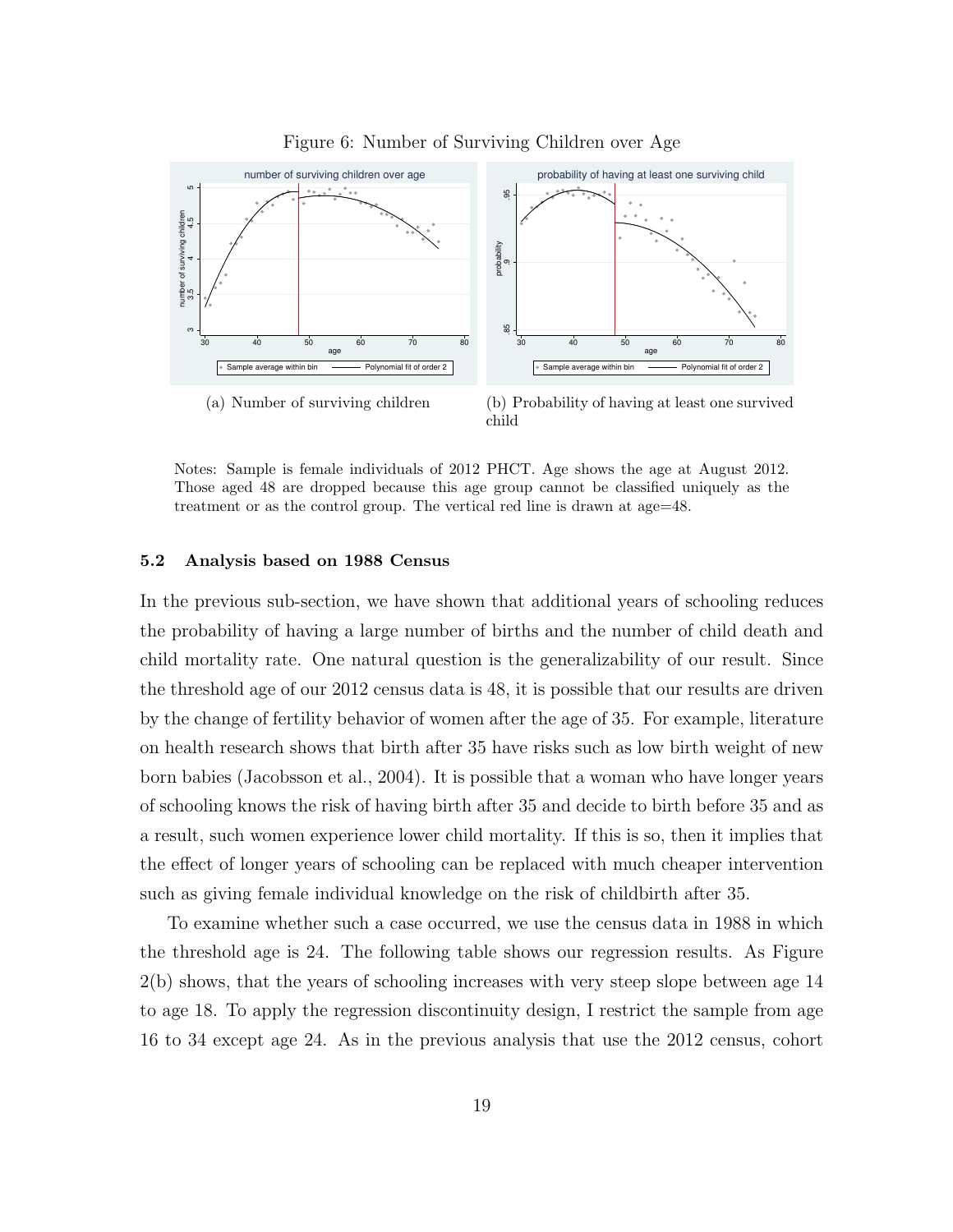

Figure 6: Number of Surviving Children over Age

Notes: Sample is female individuals of 2012 PHCT. Age shows the age at August 2012. Those aged 48 are dropped because this age group cannot be classified uniquely as the treatment or as the control group. The vertical red line is drawn at age=48.

#### 5.2 Analysis based on 1988 Census

In the previous sub-section, we have shown that additional years of schooling reduces the probability of having a large number of births and the number of child death and child mortality rate. One natural question is the generalizability of our result. Since the threshold age of our 2012 census data is 48, it is possible that our results are driven by the change of fertility behavior of women after the age of 35. For example, literature on health research shows that birth after 35 have risks such as low birth weight of new born babies (Jacobsson et al., 2004). It is possible that a woman who have longer years of schooling knows the risk of having birth after 35 and decide to birth before 35 and as a result, such women experience lower child mortality. If this is so, then it implies that the effect of longer years of schooling can be replaced with much cheaper intervention such as giving female individual knowledge on the risk of childbirth after 35.

To examine whether such a case occurred, we use the census data in 1988 in which the threshold age is 24. The following table shows our regression results. As Figure 2(b) shows, that the years of schooling increases with very steep slope between age 14 to age 18. To apply the regression discontinuity design, I restrict the sample from age 16 to 34 except age 24. As in the previous analysis that use the 2012 census, cohort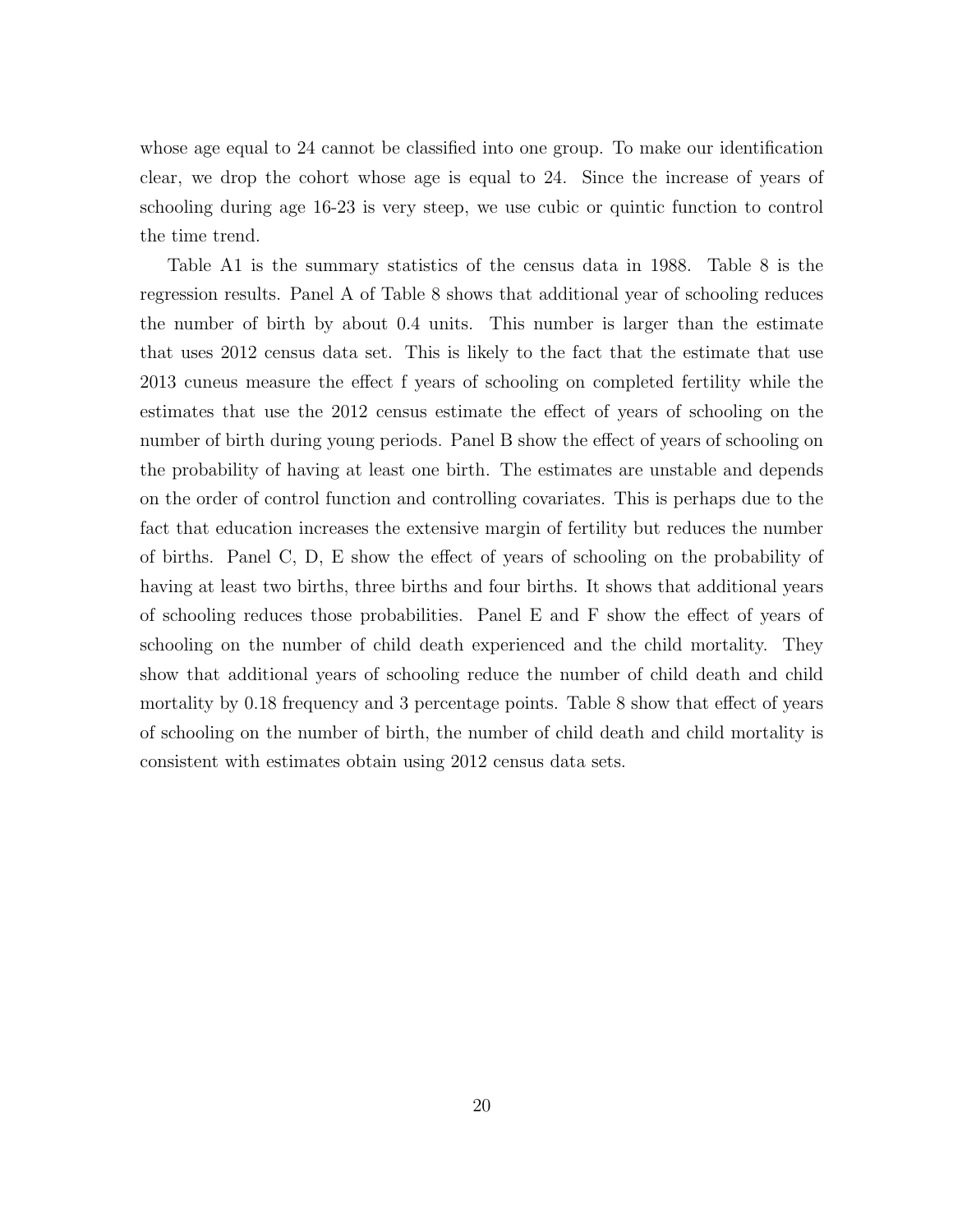whose age equal to 24 cannot be classified into one group. To make our identification clear, we drop the cohort whose age is equal to 24. Since the increase of years of schooling during age 16-23 is very steep, we use cubic or quintic function to control the time trend.

Table A1 is the summary statistics of the census data in 1988. Table 8 is the regression results. Panel A of Table 8 shows that additional year of schooling reduces the number of birth by about 0.4 units. This number is larger than the estimate that uses 2012 census data set. This is likely to the fact that the estimate that use 2013 cuneus measure the effect f years of schooling on completed fertility while the estimates that use the 2012 census estimate the effect of years of schooling on the number of birth during young periods. Panel B show the effect of years of schooling on the probability of having at least one birth. The estimates are unstable and depends on the order of control function and controlling covariates. This is perhaps due to the fact that education increases the extensive margin of fertility but reduces the number of births. Panel C, D, E show the effect of years of schooling on the probability of having at least two births, three births and four births. It shows that additional years of schooling reduces those probabilities. Panel E and F show the effect of years of schooling on the number of child death experienced and the child mortality. They show that additional years of schooling reduce the number of child death and child mortality by 0.18 frequency and 3 percentage points. Table 8 show that effect of years of schooling on the number of birth, the number of child death and child mortality is consistent with estimates obtain using 2012 census data sets.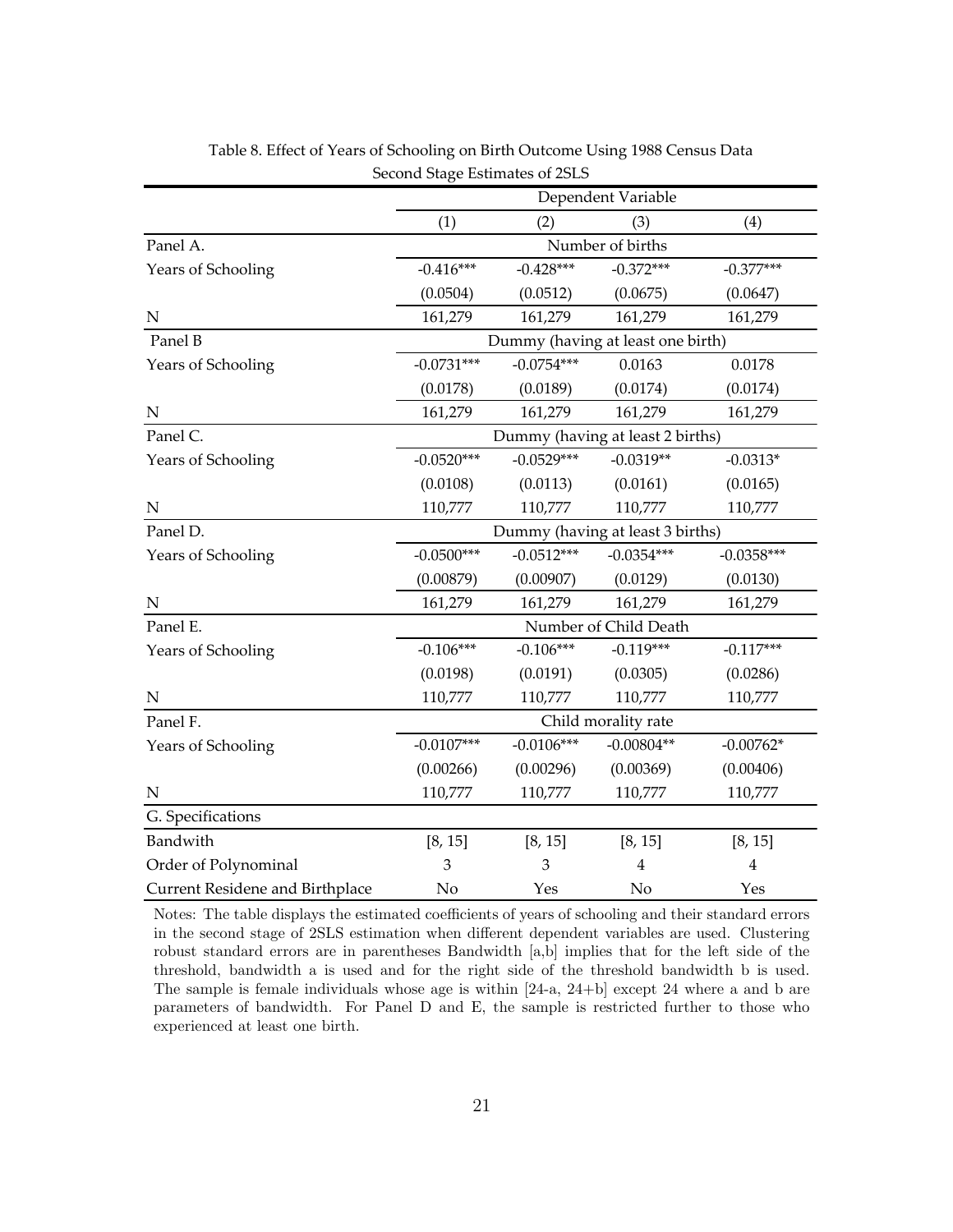|                                 |              | Dependent Variable               |                                   |                |  |  |  |  |
|---------------------------------|--------------|----------------------------------|-----------------------------------|----------------|--|--|--|--|
|                                 | (1)          | (2)                              | (3)                               | (4)            |  |  |  |  |
| Panel A.                        |              | Number of births                 |                                   |                |  |  |  |  |
| Years of Schooling              | $-0.416***$  | $-0.428***$                      | $-0.372***$                       | $-0.377***$    |  |  |  |  |
|                                 | (0.0504)     | (0.0512)                         | (0.0675)                          | (0.0647)       |  |  |  |  |
| ${\bf N}$                       | 161,279      | 161,279                          | 161,279                           | 161,279        |  |  |  |  |
| Panel B                         |              |                                  | Dummy (having at least one birth) |                |  |  |  |  |
| Years of Schooling              | $-0.0731***$ | $-0.0754***$                     | 0.0163                            | 0.0178         |  |  |  |  |
|                                 | (0.0178)     | (0.0189)                         | (0.0174)                          | (0.0174)       |  |  |  |  |
| $\mathbf N$                     | 161,279      | 161,279                          | 161,279                           | 161,279        |  |  |  |  |
| Panel C.                        |              |                                  | Dummy (having at least 2 births)  |                |  |  |  |  |
| Years of Schooling              | $-0.0520***$ | $-0.0529***$                     | $-0.0319**$                       | $-0.0313*$     |  |  |  |  |
|                                 | (0.0108)     | (0.0113)                         | (0.0161)                          | (0.0165)       |  |  |  |  |
| $\mathbf N$                     | 110,777      | 110,777                          | 110,777                           | 110,777        |  |  |  |  |
| Panel D.                        |              | Dummy (having at least 3 births) |                                   |                |  |  |  |  |
| Years of Schooling              | $-0.0500***$ | $-0.0512***$                     | $-0.0354***$                      | $-0.0358***$   |  |  |  |  |
|                                 | (0.00879)    | (0.00907)                        | (0.0129)                          | (0.0130)       |  |  |  |  |
| ${\bf N}$                       | 161,279      | 161,279                          | 161,279                           | 161,279        |  |  |  |  |
| Panel E.                        |              |                                  | Number of Child Death             |                |  |  |  |  |
| Years of Schooling              | $-0.106***$  | $-0.106***$                      | $-0.119***$                       | $-0.117***$    |  |  |  |  |
|                                 | (0.0198)     | (0.0191)                         | (0.0305)                          | (0.0286)       |  |  |  |  |
| ${\bf N}$                       | 110,777      | 110,777                          | 110,777                           | 110,777        |  |  |  |  |
| Panel F.                        |              |                                  | Child morality rate               |                |  |  |  |  |
| Years of Schooling              | $-0.0107***$ | $-0.0106***$                     | $-0.00804**$                      | $-0.00762*$    |  |  |  |  |
|                                 | (0.00266)    | (0.00296)                        | (0.00369)                         | (0.00406)      |  |  |  |  |
| $\mathbf N$                     | 110,777      | 110,777                          | 110,777                           | 110,777        |  |  |  |  |
| G. Specifications               |              |                                  |                                   |                |  |  |  |  |
| Bandwith                        | [8, 15]      | [8, 15]                          | [8, 15]                           | [8, 15]        |  |  |  |  |
| Order of Polynominal            | 3            | 3                                | $\overline{4}$                    | $\overline{4}$ |  |  |  |  |
| Current Residene and Birthplace | No           | Yes                              | No                                | Yes            |  |  |  |  |

Table 8. Effect of Years of Schooling on Birth Outcome Using 1988 Census Data Second Stage Estimates of 2SLS

Notes: The table displays the estimated coefficients of years of schooling and their standard errors in the second stage of 2SLS estimation when different dependent variables are used. Clustering robust standard errors are in parentheses Bandwidth [a,b] implies that for the left side of the threshold, bandwidth a is used and for the right side of the threshold bandwidth b is used. The sample is female individuals whose age is within [24-a, 24+b] except 24 where a and b are parameters of bandwidth. For Panel D and E, the sample is restricted further to those who experienced at least one birth.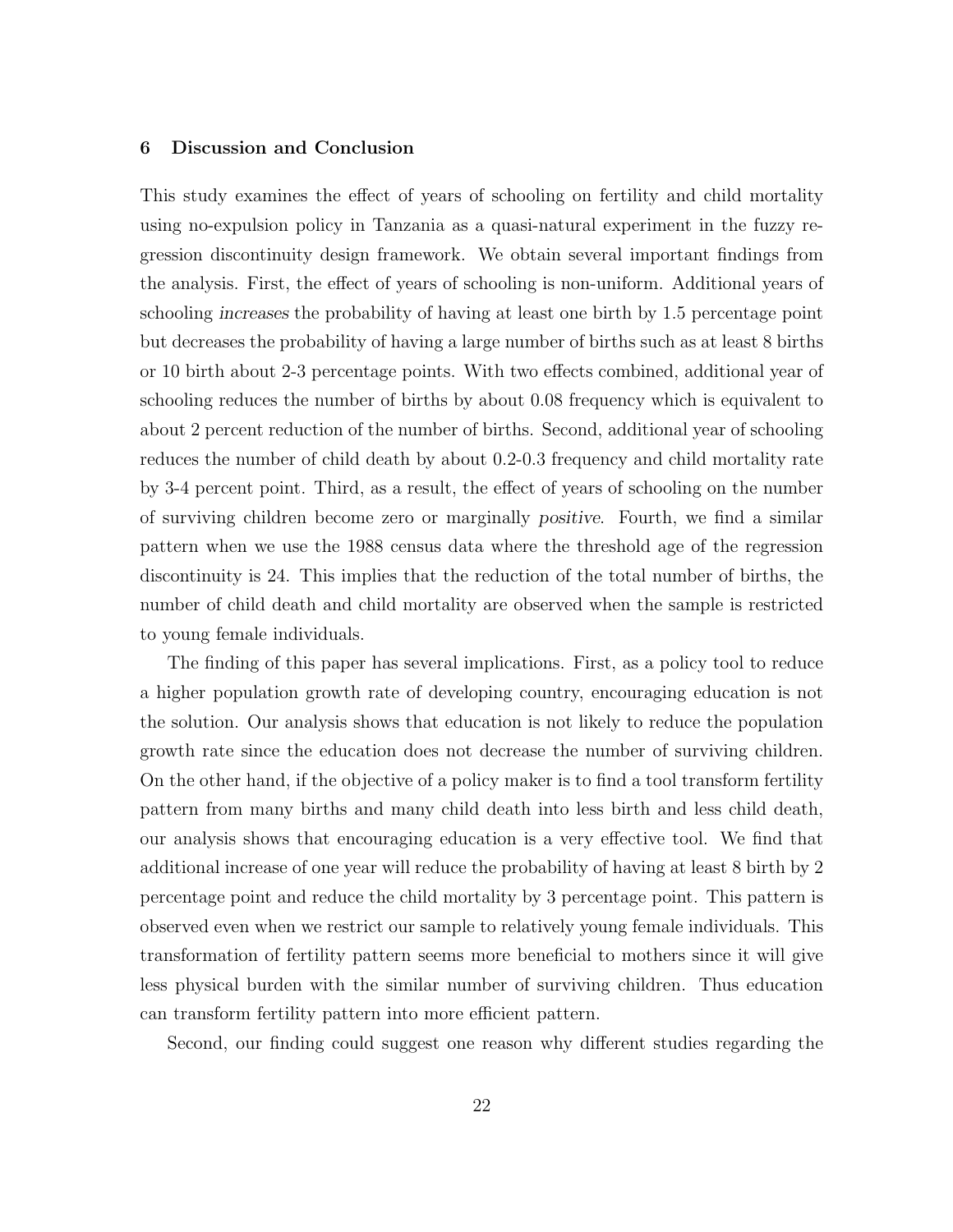#### 6 Discussion and Conclusion

This study examines the effect of years of schooling on fertility and child mortality using no-expulsion policy in Tanzania as a quasi-natural experiment in the fuzzy regression discontinuity design framework. We obtain several important findings from the analysis. First, the effect of years of schooling is non-uniform. Additional years of schooling increases the probability of having at least one birth by 1.5 percentage point but decreases the probability of having a large number of births such as at least 8 births or 10 birth about 2-3 percentage points. With two effects combined, additional year of schooling reduces the number of births by about 0.08 frequency which is equivalent to about 2 percent reduction of the number of births. Second, additional year of schooling reduces the number of child death by about 0.2-0.3 frequency and child mortality rate by 3-4 percent point. Third, as a result, the effect of years of schooling on the number of surviving children become zero or marginally positive. Fourth, we find a similar pattern when we use the 1988 census data where the threshold age of the regression discontinuity is 24. This implies that the reduction of the total number of births, the number of child death and child mortality are observed when the sample is restricted to young female individuals.

The finding of this paper has several implications. First, as a policy tool to reduce a higher population growth rate of developing country, encouraging education is not the solution. Our analysis shows that education is not likely to reduce the population growth rate since the education does not decrease the number of surviving children. On the other hand, if the objective of a policy maker is to find a tool transform fertility pattern from many births and many child death into less birth and less child death, our analysis shows that encouraging education is a very effective tool. We find that additional increase of one year will reduce the probability of having at least 8 birth by 2 percentage point and reduce the child mortality by 3 percentage point. This pattern is observed even when we restrict our sample to relatively young female individuals. This transformation of fertility pattern seems more beneficial to mothers since it will give less physical burden with the similar number of surviving children. Thus education can transform fertility pattern into more efficient pattern.

Second, our finding could suggest one reason why different studies regarding the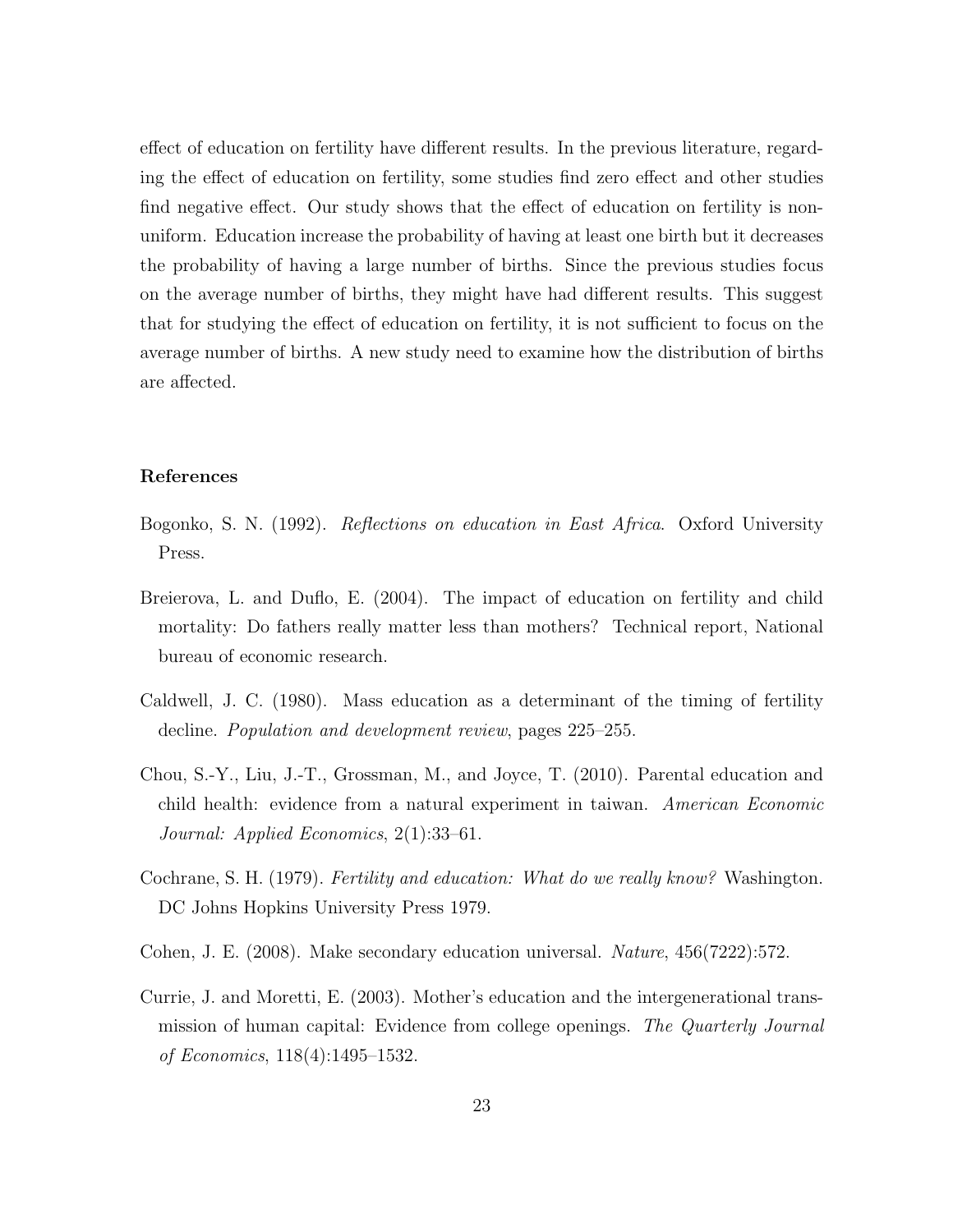effect of education on fertility have different results. In the previous literature, regarding the effect of education on fertility, some studies find zero effect and other studies find negative effect. Our study shows that the effect of education on fertility is nonuniform. Education increase the probability of having at least one birth but it decreases the probability of having a large number of births. Since the previous studies focus on the average number of births, they might have had different results. This suggest that for studying the effect of education on fertility, it is not sufficient to focus on the average number of births. A new study need to examine how the distribution of births are affected.

#### References

- Bogonko, S. N. (1992). Reflections on education in East Africa. Oxford University Press.
- Breierova, L. and Duflo, E. (2004). The impact of education on fertility and child mortality: Do fathers really matter less than mothers? Technical report, National bureau of economic research.
- Caldwell, J. C. (1980). Mass education as a determinant of the timing of fertility decline. Population and development review, pages 225–255.
- Chou, S.-Y., Liu, J.-T., Grossman, M., and Joyce, T. (2010). Parental education and child health: evidence from a natural experiment in taiwan. American Economic Journal: Applied Economics, 2(1):33–61.
- Cochrane, S. H. (1979). *Fertility and education: What do we really know?* Washington. DC Johns Hopkins University Press 1979.
- Cohen, J. E. (2008). Make secondary education universal. Nature, 456(7222):572.
- Currie, J. and Moretti, E. (2003). Mother's education and the intergenerational transmission of human capital: Evidence from college openings. The Quarterly Journal of Economics, 118(4):1495–1532.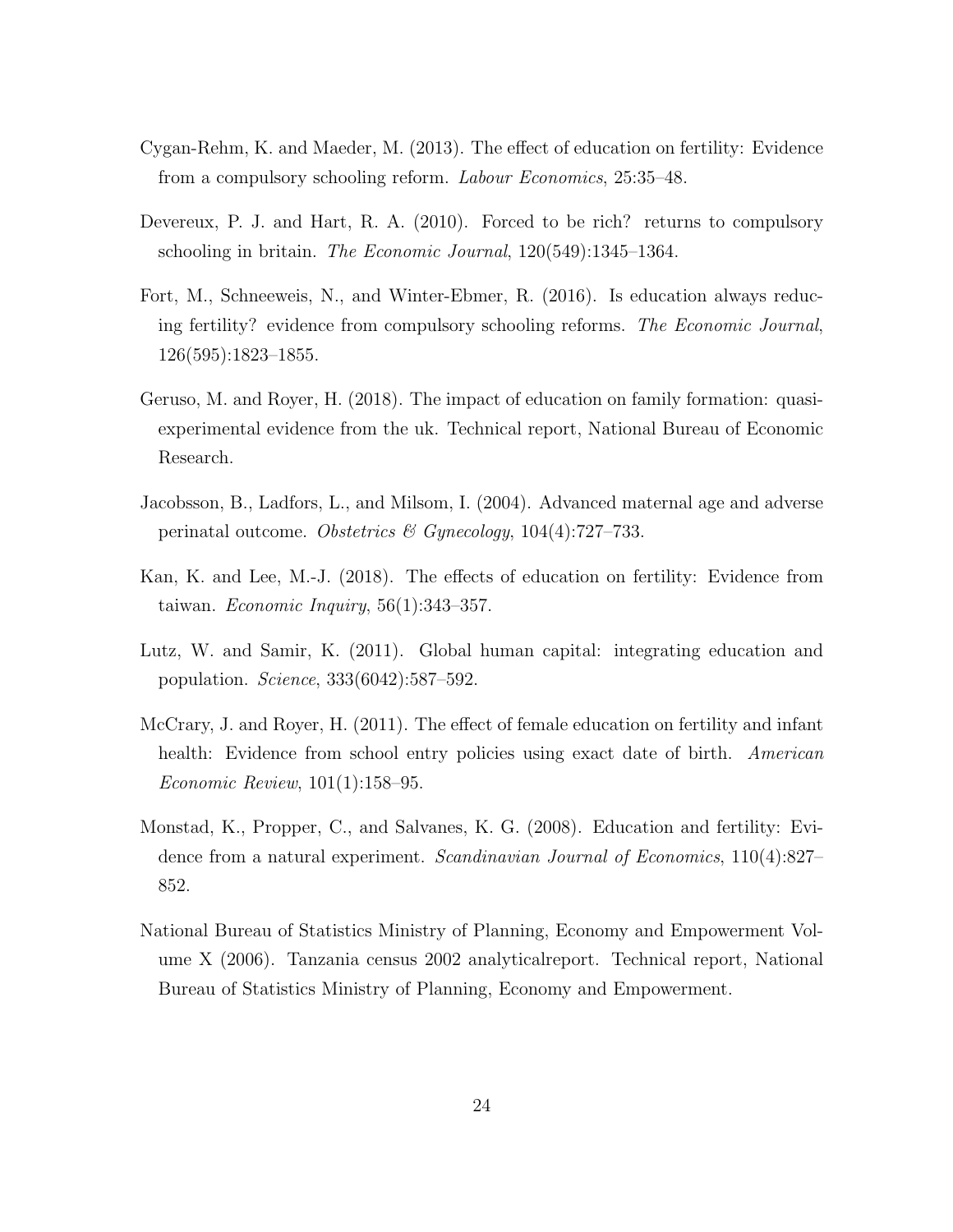- Cygan-Rehm, K. and Maeder, M. (2013). The effect of education on fertility: Evidence from a compulsory schooling reform. Labour Economics, 25:35–48.
- Devereux, P. J. and Hart, R. A. (2010). Forced to be rich? returns to compulsory schooling in britain. The Economic Journal, 120(549):1345–1364.
- Fort, M., Schneeweis, N., and Winter-Ebmer, R. (2016). Is education always reducing fertility? evidence from compulsory schooling reforms. The Economic Journal, 126(595):1823–1855.
- Geruso, M. and Royer, H. (2018). The impact of education on family formation: quasiexperimental evidence from the uk. Technical report, National Bureau of Economic Research.
- Jacobsson, B., Ladfors, L., and Milsom, I. (2004). Advanced maternal age and adverse perinatal outcome. Obstetrics & Gynecology,  $104(4)$ :727–733.
- Kan, K. and Lee, M.-J. (2018). The effects of education on fertility: Evidence from taiwan. *Economic Inquiry*,  $56(1):343-357$ .
- Lutz, W. and Samir, K. (2011). Global human capital: integrating education and population. Science, 333(6042):587–592.
- McCrary, J. and Royer, H. (2011). The effect of female education on fertility and infant health: Evidence from school entry policies using exact date of birth. American Economic Review, 101(1):158–95.
- Monstad, K., Propper, C., and Salvanes, K. G. (2008). Education and fertility: Evidence from a natural experiment. Scandinavian Journal of Economics, 110(4):827– 852.
- National Bureau of Statistics Ministry of Planning, Economy and Empowerment Volume X (2006). Tanzania census 2002 analyticalreport. Technical report, National Bureau of Statistics Ministry of Planning, Economy and Empowerment.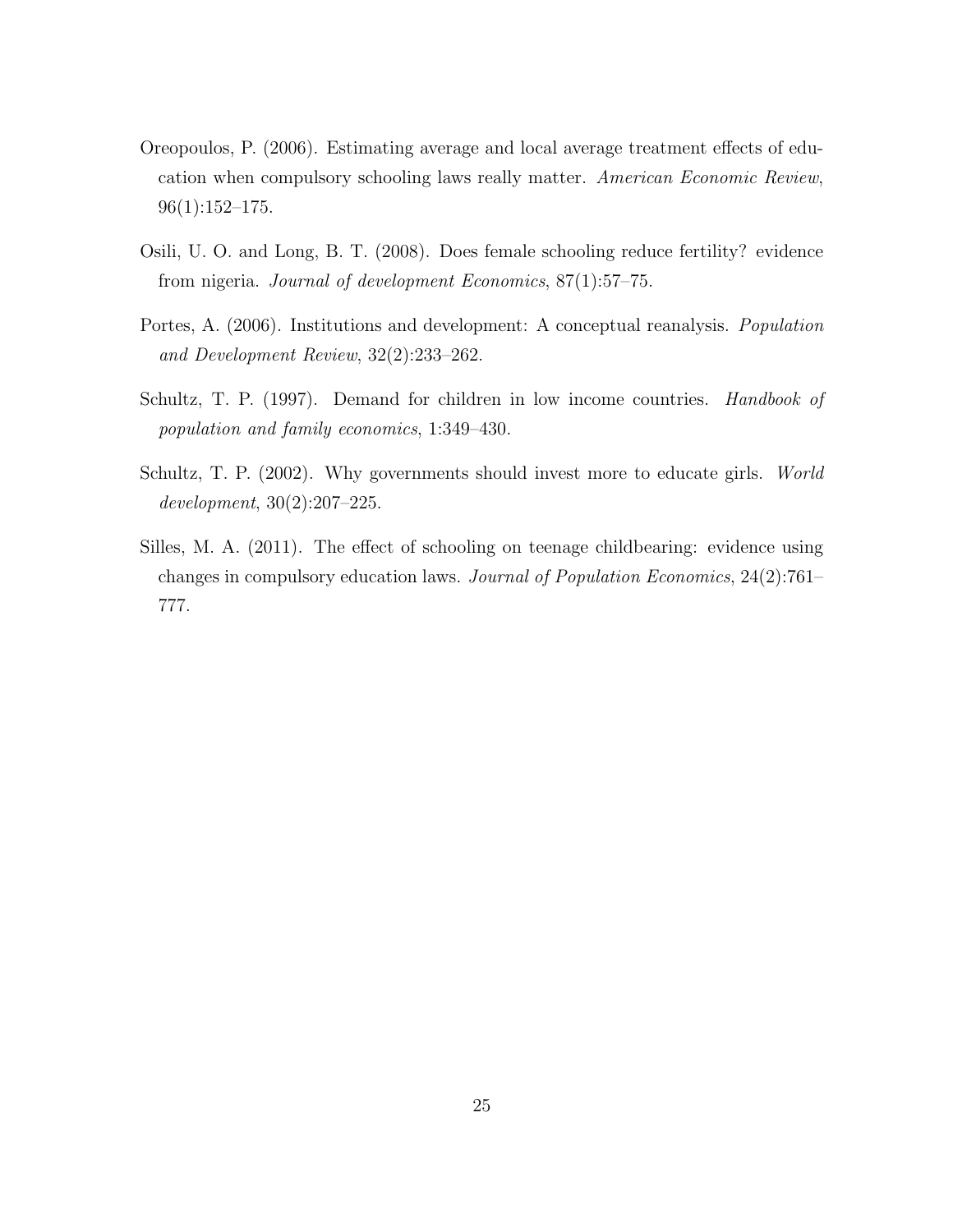- Oreopoulos, P. (2006). Estimating average and local average treatment effects of education when compulsory schooling laws really matter. American Economic Review, 96(1):152–175.
- Osili, U. O. and Long, B. T. (2008). Does female schooling reduce fertility? evidence from nigeria. Journal of development Economics, 87(1):57–75.
- Portes, A. (2006). Institutions and development: A conceptual reanalysis. Population and Development Review, 32(2):233–262.
- Schultz, T. P. (1997). Demand for children in low income countries. *Handbook of* population and family economics, 1:349–430.
- Schultz, T. P. (2002). Why governments should invest more to educate girls. World development, 30(2):207–225.
- Silles, M. A. (2011). The effect of schooling on teenage childbearing: evidence using changes in compulsory education laws. Journal of Population Economics, 24(2):761– 777.